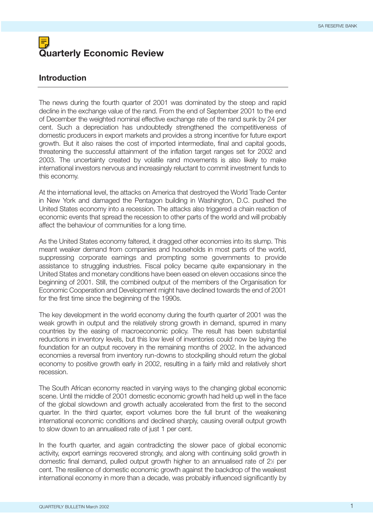# **Quarterly Economic Review**

# **Introduction**

The news during the fourth quarter of 2001 was dominated by the steep and rapid decline in the exchange value of the rand. From the end of September 2001 to the end of December the weighted nominal effective exchange rate of the rand sunk by 24 per cent. Such a depreciation has undoubtedly strengthened the competitiveness of domestic producers in export markets and provides a strong incentive for future export growth. But it also raises the cost of imported intermediate, final and capital goods, threatening the successful attainment of the inflation target ranges set for 2002 and 2003. The uncertainty created by volatile rand movements is also likely to make international investors nervous and increasingly reluctant to commit investment funds to this economy.

At the international level, the attacks on America that destroyed the World Trade Center in New York and damaged the Pentagon building in Washington, D.C. pushed the United States economy into a recession. The attacks also triggered a chain reaction of economic events that spread the recession to other parts of the world and will probably affect the behaviour of communities for a long time.

As the United States economy faltered, it dragged other economies into its slump. This meant weaker demand from companies and households in most parts of the world, suppressing corporate earnings and prompting some governments to provide assistance to struggling industries. Fiscal policy became quite expansionary in the United States and monetary conditions have been eased on eleven occasions since the beginning of 2001. Still, the combined output of the members of the Organisation for Economic Cooperation and Development might have declined towards the end of 2001 for the first time since the beginning of the 1990s.

The key development in the world economy during the fourth quarter of 2001 was the weak growth in output and the relatively strong growth in demand, spurred in many countries by the easing of macroeconomic policy. The result has been substantial reductions in inventory levels, but this low level of inventories could now be laying the foundation for an output recovery in the remaining months of 2002. In the advanced economies a reversal from inventory run-downs to stockpiling should return the global economy to positive growth early in 2002, resulting in a fairly mild and relatively short recession.

The South African economy reacted in varying ways to the changing global economic scene. Until the middle of 2001 domestic economic growth had held up well in the face of the global slowdown and growth actually accelerated from the first to the second quarter. In the third quarter, export volumes bore the full brunt of the weakening international economic conditions and declined sharply, causing overall output growth to slow down to an annualised rate of just 1 per cent.

In the fourth quarter, and again contradicting the slower pace of global economic activity, export earnings recovered strongly, and along with continuing solid growth in domestic final demand, pulled output growth higher to an annualised rate of 2½ per cent. The resilience of domestic economic growth against the backdrop of the weakest international economy in more than a decade, was probably influenced significantly by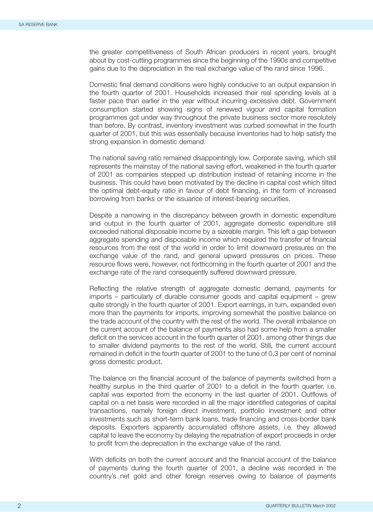the greater competitiveness of South African producers in recent years, brought about by cost-cutting programmes since the beginning of the 1990s and competitive gains due to the depreciation in the real exchange value of the rand since 1996.

Domestic final demand conditions were highly conducive to an output expansion in the fourth quarter of 2001. Households increased their real spending levels at a faster pace than earlier in the year without incurring excessive debt. Government consumption started showing signs of renewed vigour and capital formation programmes got under way throughout the private business sector more resolutely than before. By contrast, inventory investment was curbed somewhat in the fourth quarter of 2001, but this was essentially because inventories had to help satisfy the strong expansion in domestic demand.

The national saving ratio remained disappointingly low. Corporate saving, which still represents the mainstay of the national saving effort, weakened in the fourth quarter of 2001 as companies stepped up distribution instead of retaining income in the business. This could have been motivated by the decline in capital cost which tilted the optimal debt-equity ratio in favour of debt financing, in the form of increased borrowing from banks or the issuance of interest-bearing securities.

Despite a narrowing in the discrepancy between growth in domestic expenditure and output in the fourth quarter of 2001, aggregate domestic expenditure still exceeded national disposable income by a sizeable margin. This left a gap between aggregate spending and disposable income which required the transfer of financial resources from the rest of the world in order to limit downward pressures on the exchange value of the rand, and general upward pressures on prices. These resource flows were, however, not forthcoming in the fourth quarter of 2001 and the exchange rate of the rand consequently suffered downward pressure.

Reflecting the relative strength of aggregate domestic demand, payments for imports – particularly of durable consumer goods and capital equipment – grew quite strongly in the fourth quarter of 2001. Export earnings, in turn, expanded even more than the payments for imports, improving somewhat the positive balance on the trade account of the country with the rest of the world. The overall imbalance on the current account of the balance of payments also had some help from a smaller deficit on the services account in the fourth quarter of 2001, among other things due to smaller dividend payments to the rest of the world. Still, the current account remained in deficit in the fourth quarter of 2001 to the tune of 0,3 per cent of nominal gross domestic product.

The balance on the financial account of the balance of payments switched from a healthy surplus in the third quarter of 2001 to a deficit in the fourth quarter, i.e. capital was exported from the economy in the last quarter of 2001. Outflows of capital on a net basis were recorded in all the major identified categories of capital transactions, namely foreign direct investment, portfolio investment and other investments such as short-term bank loans, trade financing and cross-border bank deposits. Exporters apparently accumulated offshore assets, i.e. they allowed capital to leave the economy by delaying the repatriation of export proceeds in order to profit from the depreciation in the exchange value of the rand.

With deficits on both the current account and the financial account of the balance of payments during the fourth quarter of 2001, a decline was recorded in the country's net gold and other foreign reserves owing to balance of payments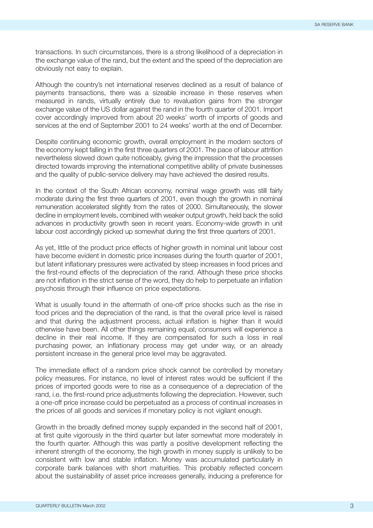transactions. In such circumstances, there is a strong likelihood of a depreciation in the exchange value of the rand, but the extent and the speed of the depreciation are obviously not easy to explain.

Although the country's net international reserves declined as a result of balance of payments transactions, there was a sizeable increase in these reserves when measured in rands, virtually entirely due to revaluation gains from the stronger exchange value of the US dollar against the rand in the fourth quarter of 2001. Import cover accordingly improved from about 20 weeks' worth of imports of goods and services at the end of September 2001 to 24 weeks' worth at the end of December.

Despite continuing economic growth, overall employment in the modern sectors of the economy kept falling in the first three quarters of 2001. The pace of labour attrition nevertheless slowed down quite noticeably, giving the impression that the processes directed towards improving the international competitive ability of private businesses and the quality of public-service delivery may have achieved the desired results.

In the context of the South African economy, nominal wage growth was still fairly moderate during the first three quarters of 2001, even though the growth in nominal remuneration accelerated slightly from the rates of 2000. Simultaneously, the slower decline in employment levels, combined with weaker output growth, held back the solid advances in productivity growth seen in recent years. Economy-wide growth in unit labour cost accordingly picked up somewhat during the first three quarters of 2001.

As yet, little of the product price effects of higher growth in nominal unit labour cost have become evident in domestic price increases during the fourth quarter of 2001, but latent inflationary pressures were activated by steep increases in food prices and the first-round effects of the depreciation of the rand. Although these price shocks are not inflation in the strict sense of the word, they do help to perpetuate an inflation psychosis through their influence on price expectations.

What is usually found in the aftermath of one-off price shocks such as the rise in food prices and the depreciation of the rand, is that the overall price level is raised and that during the adjustment process, actual inflation is higher than it would otherwise have been. All other things remaining equal, consumers will experience a decline in their real income. If they are compensated for such a loss in real purchasing power, an inflationary process may get under way, or an already persistent increase in the general price level may be aggravated.

The immediate effect of a random price shock cannot be controlled by monetary policy measures. For instance, no level of interest rates would be sufficient if the prices of imported goods were to rise as a consequence of a depreciation of the rand, i.e. the first-round price adjustments following the depreciation. However, such a one-off price increase could be perpetuated as a process of continual increases in the prices of all goods and services if monetary policy is not vigilant enough.

Growth in the broadly defined money supply expanded in the second half of 2001, at first quite vigorously in the third quarter but later somewhat more moderately in the fourth quarter. Although this was partly a positive development reflecting the inherent strength of the economy, the high growth in money supply is unlikely to be consistent with low and stable inflation. Money was accumulated particularly in corporate bank balances with short maturities. This probably reflected concern about the sustainability of asset price increases generally, inducing a preference for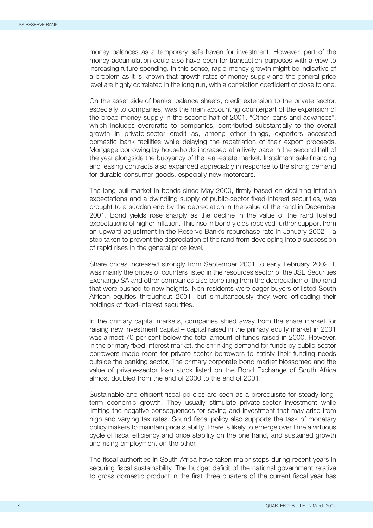money balances as a temporary safe haven for investment. However, part of the money accumulation could also have been for transaction purposes with a view to increasing future spending. In this sense, rapid money growth might be indicative of a problem as it is known that growth rates of money supply and the general price level are highly correlated in the long run, with a correlation coefficient of close to one.

On the asset side of banks' balance sheets, credit extension to the private sector, especially to companies, was the main accounting counterpart of the expansion of the broad money supply in the second half of 2001. "Other loans and advances", which includes overdrafts to companies, contributed substantially to the overall growth in private-sector credit as, among other things, exporters accessed domestic bank facilities while delaying the repatriation of their export proceeds. Mortgage borrowing by households increased at a lively pace in the second half of the year alongside the buoyancy of the real-estate market. Instalment sale financing and leasing contracts also expanded appreciably in response to the strong demand for durable consumer goods, especially new motorcars.

The long bull market in bonds since May 2000, firmly based on declining inflation expectations and a dwindling supply of public-sector fixed-interest securities, was brought to a sudden end by the depreciation in the value of the rand in December 2001. Bond yields rose sharply as the decline in the value of the rand fuelled expectations of higher inflation. This rise in bond yields received further support from an upward adjustment in the Reserve Bank's repurchase rate in January 2002 – a step taken to prevent the depreciation of the rand from developing into a succession of rapid rises in the general price level.

Share prices increased strongly from September 2001 to early February 2002. It was mainly the prices of counters listed in the resources sector of the JSE Securities Exchange SA and other companies also benefiting from the depreciation of the rand that were pushed to new heights. Non-residents were eager buyers of listed South African equities throughout 2001, but simultaneously they were offloading their holdings of fixed-interest securities.

In the primary capital markets, companies shied away from the share market for raising new investment capital – capital raised in the primary equity market in 2001 was almost 70 per cent below the total amount of funds raised in 2000. However, in the primary fixed-interest market, the shrinking demand for funds by public-sector borrowers made room for private-sector borrowers to satisfy their funding needs outside the banking sector. The primary corporate bond market blossomed and the value of private-sector loan stock listed on the Bond Exchange of South Africa almost doubled from the end of 2000 to the end of 2001.

Sustainable and efficient fiscal policies are seen as a prerequisite for steady longterm economic growth. They usually stimulate private-sector investment while limiting the negative consequences for saving and investment that may arise from high and varying tax rates. Sound fiscal policy also supports the task of monetary policy makers to maintain price stability. There is likely to emerge over time a virtuous cycle of fiscal efficiency and price stability on the one hand, and sustained growth and rising employment on the other.

The fiscal authorities in South Africa have taken major steps during recent years in securing fiscal sustainability. The budget deficit of the national government relative to gross domestic product in the first three quarters of the current fiscal year has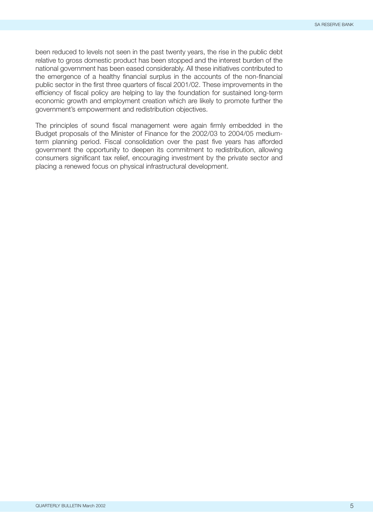been reduced to levels not seen in the past twenty years, the rise in the public debt relative to gross domestic product has been stopped and the interest burden of the national government has been eased considerably. All these initiatives contributed to the emergence of a healthy financial surplus in the accounts of the non-financial public sector in the first three quarters of fiscal 2001/02. These improvements in the efficiency of fiscal policy are helping to lay the foundation for sustained long-term economic growth and employment creation which are likely to promote further the government's empowerment and redistribution objectives.

The principles of sound fiscal management were again firmly embedded in the Budget proposals of the Minister of Finance for the 2002/03 to 2004/05 mediumterm planning period. Fiscal consolidation over the past five years has afforded government the opportunity to deepen its commitment to redistribution, allowing consumers significant tax relief, encouraging investment by the private sector and placing a renewed focus on physical infrastructural development.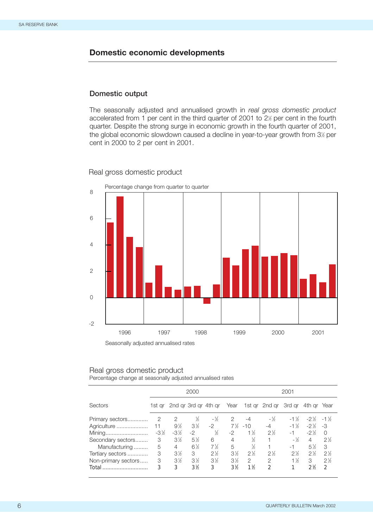# **Domestic economic developments**

## **Domestic output**

The seasonally adjusted and annualised growth in *real gross domestic product* accelerated from 1 per cent in the third quarter of 2001 to 2½ per cent in the fourth quarter. Despite the strong surge in economic growth in the fourth quarter of 2001, the global economic slowdown caused a decline in year-to-year growth from 3½ per cent in 2000 to 2 per cent in 2001.

#### Real gross domestic product



# Real gross domestic product

Percentage change at seasonally adjusted annualised rates

|                     | 2000            |                      |                |                | 2001  |                |                |                 |                     |                |
|---------------------|-----------------|----------------------|----------------|----------------|-------|----------------|----------------|-----------------|---------------------|----------------|
| Sectors             | 1st ar          | 2nd ar 3rd ar 4th ar |                |                | Year  |                | 1st gr 2nd gr  | 3rd ar          | 4th ar              | Year           |
| Primary sectors     | 2               | $\mathcal{P}$        | ℅              | $-1/2$         | 2     | -4             | $-1/2$         | $-1\frac{1}{2}$ | $-2\frac{1}{2}$ -1% |                |
| Agriculture         | 11              | $9\%$                | $3\%$          | $-2$           | 7%    | $-10$          | $-4$           | $-1\%$          | $-2\frac{1}{6}$     | -3             |
| Mining              | $-3\frac{1}{2}$ | $-3\frac{1}{2}$      | $-2$           | ℅              | -2    | $1\frac{1}{2}$ | $2\frac{1}{6}$ | -1              | $-2\frac{1}{6}$     | $\Omega$       |
| Secondary sectors   | 3               | $3\%$                | $5\frac{1}{2}$ | 6              | 4     | ℅              |                | $-1/2$          | 4                   | $2\%$          |
| Manufacturing       | 5               | 4                    | $6\frac{1}{2}$ | 7½             | 5     | 1/2            |                | -1              | $5\%$               | 3              |
| Tertiary sectors    | 3               | $3\%$                | 3              | $2\frac{1}{2}$ | $3\%$ | $2\frac{1}{2}$ | $2\frac{1}{6}$ | $2\frac{1}{6}$  | $2\frac{1}{6}$      | $2\frac{1}{2}$ |
| Non-primary sectors | 3               | $3\%$                | $3\%$          | $3\%$          | $3\%$ | $\mathcal{P}$  | 2              | $1\frac{1}{6}$  | 3                   | $2\%$          |
| Total               | 3               | 3                    | $3\%$          | 3              | $3\%$ | $1\frac{1}{2}$ | $\mathcal{P}$  |                 | 2 <sup>1</sup> b    | $\mathcal{L}$  |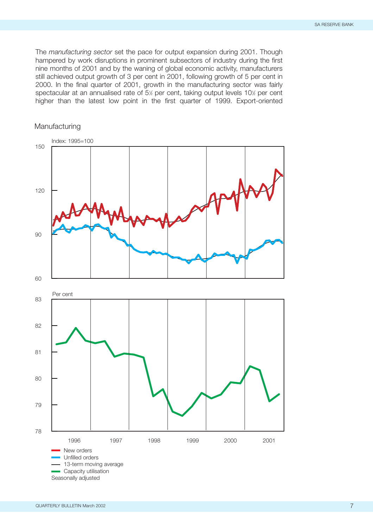The *manufacturing sector* set the pace for output expansion during 2001. Though hampered by work disruptions in prominent subsectors of industry during the first nine months of 2001 and by the waning of global economic activity, manufacturers still achieved output growth of 3 per cent in 2001, following growth of 5 per cent in 2000. In the final quarter of 2001, growth in the manufacturing sector was fairly spectacular at an annualised rate of 5½ per cent, taking output levels 10½ per cent higher than the latest low point in the first quarter of 1999. Export-oriented

## Manufacturing

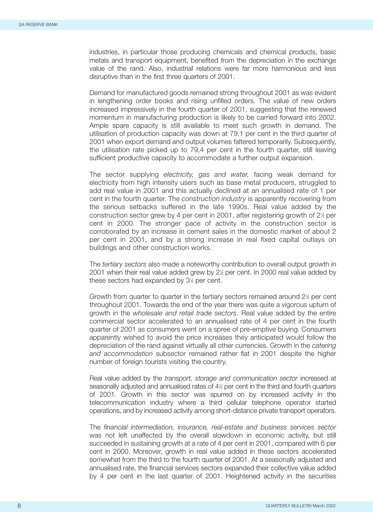industries, in particular those producing chemicals and chemical products, basic metals and transport equipment, benefited from the depreciation in the exchange value of the rand. Also, industrial relations were far more harmonious and less disruptive than in the first three quarters of 2001.

Demand for manufactured goods remained strong throughout 2001 as was evident in lengthening order books and rising unfilled orders. The value of new orders increased impressively in the fourth quarter of 2001, suggesting that the renewed momentum in manufacturing production is likely to be carried forward into 2002. Ample spare capacity is still available to meet such growth in demand. The utilisation of production capacity was down at 79,1 per cent in the third quarter of 2001 when export demand and output volumes faltered temporarily. Subsequently, the utilisation rate picked up to 79,4 per cent in the fourth quarter, still leaving sufficient productive capacity to accommodate a further output expansion.

The sector supplying *electricity, gas and water,* facing weak demand for electricity from high intensity users such as base metal producers, struggled to add real value in 2001 and this actually declined at an annualised rate of 1 per cent in the fourth quarter. The *construction industry* is apparently recovering from the serious setbacks suffered in the late 1990s. Real value added by the construction sector grew by 4 per cent in 2001, after registering growth of 2½ per cent in 2000. The stronger pace of activity in the construction sector is corroborated by an increase in cement sales in the domestic market of about 2 per cent in 2001, and by a strong increase in real fixed capital outlays on buildings and other construction works.

The *tertiary sectors* also made a noteworthy contribution to overall output growth in 2001 when their real value added grew by 21 ⁄2 per cent. In 2000 real value added by these sectors had expanded by 3<sup>1/2</sup> per cent.

Growth from quarter to quarter in the tertiary sectors remained around 2<sup>1/2</sup> per cent throughout 2001. Towards the end of the year there was quite a vigorous upturn of growth in the *wholesale and retail trade sectors*. Real value added by the entire commercial sector accelerated to an annualised rate of 4 per cent in the fourth quarter of 2001 as consumers went on a spree of pre-emptive buying. Consumers apparently wished to avoid the price increases they anticipated would follow the depreciation of the rand against virtually all other currencies. Growth in the *catering and accommodation* subsector remained rather flat in 2001 despite the higher number of foreign tourists visiting the country.

Real value added by the *transport, storage and communication sector* increased at seasonally adjusted and annualised rates of 4½ per cent in the third and fourth quarters of 2001. Growth in this sector was spurred on by increased activity in the telecommunication industry where a third cellular telephone operator started operations, and by increased activity among short-distance private transport operators.

The *financial intermediation, insurance, real-estate and business services sector* was not left unaffected by the overall slowdown in economic activity, but still succeeded in sustaining growth at a rate of 4 per cent in 2001, compared with 6 per cent in 2000. Moreover, growth in real value added in these sectors accelerated somewhat from the third to the fourth quarter of 2001. At a seasonally adjusted and annualised rate, the financial services sectors expanded their collective value added by 4 per cent in the last quarter of 2001. Heightened activity in the securities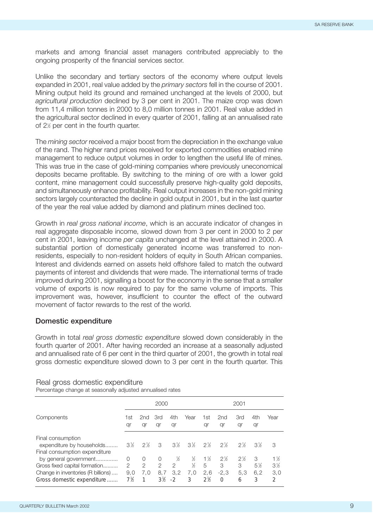markets and among financial asset managers contributed appreciably to the ongoing prosperity of the financial services sector.

Unlike the secondary and tertiary sectors of the economy where output levels expanded in 2001, real value added by the *primary sectors* fell in the course of 2001. Mining output held its ground and remained unchanged at the levels of 2000, but *agricultural production* declined by 3 per cent in 2001. The maize crop was down from 11,4 million tonnes in 2000 to 8,0 million tonnes in 2001. Real value added in the agricultural sector declined in every quarter of 2001, falling at an annualised rate of 2<sup>1/2</sup> per cent in the fourth quarter.

The *mining sector* received a major boost from the depreciation in the exchange value of the rand. The higher rand prices received for exported commodities enabled mine management to reduce output volumes in order to lengthen the useful life of mines. This was true in the case of gold-mining companies where previously uneconomical deposits became profitable. By switching to the mining of ore with a lower gold content, mine management could successfully preserve high-quality gold deposits, and simultaneously enhance profitability. Real output increases in the non-gold mining sectors largely counteracted the decline in gold output in 2001, but in the last quarter of the year the real value added by diamond and platinum mines declined too.

Growth in *real gross national income*, which is an accurate indicator of changes in real aggregate disposable income, slowed down from 3 per cent in 2000 to 2 per cent in 2001, leaving income *per capita* unchanged at the level attained in 2000. A substantial portion of domestically generated income was transferred to nonresidents, especially to non-resident holders of equity in South African companies. Interest and dividends earned on assets held offshore failed to match the outward payments of interest and dividends that were made. The international terms of trade improved during 2001, signalling a boost for the economy in the sense that a smaller volume of exports is now required to pay for the same volume of imports. This improvement was, however, insufficient to counter the effect of the outward movement of factor rewards to the rest of the world.

#### **Domestic expenditure**

Growth in total *real gross domestic expenditure* slowed down considerably in the fourth quarter of 2001. After having recorded an increase at a seasonally adjusted and annualised rate of 6 per cent in the third quarter of 2001, the growth in total real gross domestic expenditure slowed down to 3 per cent in the fourth quarter. This

#### Real gross domestic expenditure

Percentage change at seasonally adjusted annualised rates

|                                                                                                                            | 2000                |                      |                                    |                       | 2001               |                            |                                  |                        |                        |                                                 |
|----------------------------------------------------------------------------------------------------------------------------|---------------------|----------------------|------------------------------------|-----------------------|--------------------|----------------------------|----------------------------------|------------------------|------------------------|-------------------------------------------------|
| Components                                                                                                                 | 1st<br>qr           | 2nd<br>qr            | 3rd<br>qr                          | 4th<br>qr             | Year               | 1st<br>qr                  | 2nd<br>qr                        | 3rd<br>qr              | 4th<br>qr              | Year                                            |
| Final consumption<br>expenditure by households<br>Final consumption expenditure                                            | $3\%$               | $2\%$                | 3                                  | $3\%$                 | $3\%$              | $2\frac{1}{2}$             | $2\frac{1}{6}$                   | $2\%$                  | $3\%$                  | 3                                               |
| by general government<br>Gross fixed capital formation<br>Change in inventories (R billions)<br>Gross domestic expenditure | O<br>2<br>9.0<br>7% | $\Omega$<br>2<br>7.0 | O<br>$\mathcal{P}$<br>8.7<br>$3\%$ | ℅<br>2<br>3.2<br>$-2$ | ℅<br>℅<br>7,0<br>3 | $1\%$<br>5<br>2,6<br>$2\%$ | $2\%$<br>3<br>$-2.3$<br>$\Omega$ | $2\%$<br>3<br>5.3<br>6 | 3<br>$5\%$<br>6.2<br>3 | $1\frac{1}{2}$<br>$3\%$<br>3.0<br>$\mathcal{P}$ |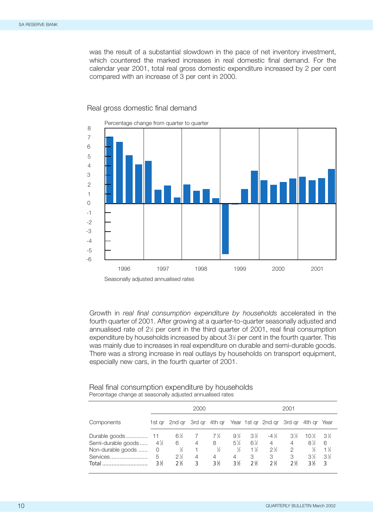was the result of a substantial slowdown in the pace of net inventory investment, which countered the marked increases in real domestic final demand. For the calendar year 2001, total real gross domestic expenditure increased by 2 per cent compared with an increase of 3 per cent in 2000.



Real gross domestic final demand

Growth in *real final consumption expenditure by households* accelerated in the fourth quarter of 2001. After growing at a quarter-to-quarter seasonally adjusted and annualised rate of 2½ per cent in the third quarter of 2001, real final consumption expenditure by households increased by about 3½ per cent in the fourth quarter. This was mainly due to increases in real expenditure on durable and semi-durable goods. There was a strong increase in real outlays by households on transport equipment, especially new cars, in the fourth quarter of 2001.

| Real final consumption expenditure by households          |
|-----------------------------------------------------------|
| Percentage change at seasonally adjusted annualised rates |

|                    | 2000             |                                                       |   |                | 2001  |                  |                  |                  |             |       |
|--------------------|------------------|-------------------------------------------------------|---|----------------|-------|------------------|------------------|------------------|-------------|-------|
| Components         |                  | 1st gr 2nd gr 3rd gr 4th gr Year 1st gr 2nd gr 3rd gr |   |                |       |                  |                  |                  | 4th gr Year |       |
|                    |                  | 6½                                                    |   | $7\frac{1}{2}$ | $9\%$ | $3\%$            | $-4\frac{1}{2}$  | $3\%$            | $10\%$      | $3\%$ |
| Semi-durable goods | $4\frac{1}{2}$   | 6                                                     | 4 | 8              | $5\%$ | $6\%$            | 4                | 4                | $8\%$       | 6     |
| Non-durable goods  | 0                | ℅                                                     |   | ℅              | ℅     | $1\frac{1}{6}$   | $2\%$            | 2                | ℅           | 1½    |
| Services           | 5                | $2\frac{1}{2}$                                        | 4 | 4              | 4     | 3                | 3                | 3                | $3\%$       | $3\%$ |
| Total              | 3 <sup>1</sup> b | 2 <sup>1</sup> b                                      | 3 | $3\%$          | $3\%$ | 2 <sup>1</sup> b | 2 <sup>1</sup> b | 2 <sup>1</sup> b | $3\%$       | -3    |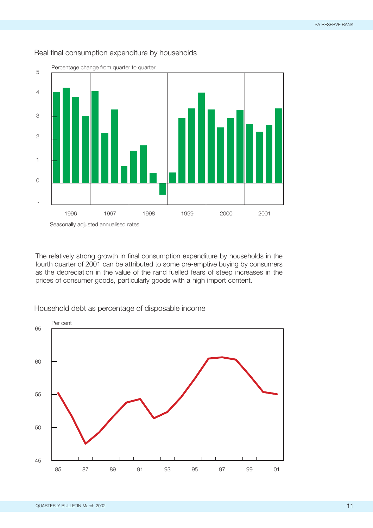

## Real final consumption expenditure by households

Seasonally adjusted annualised rates

The relatively strong growth in final consumption expenditure by households in the fourth quarter of 2001 can be attributed to some pre-emptive buying by consumers as the depreciation in the value of the rand fuelled fears of steep increases in the prices of consumer goods, particularly goods with a high import content.



Household debt as percentage of disposable income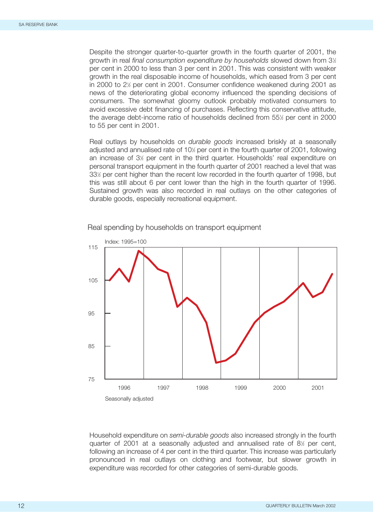Despite the stronger quarter-to-quarter growth in the fourth quarter of 2001, the growth in real *final consumption expenditure by households* slowed down from 3<sup>1/2</sup> per cent in 2000 to less than 3 per cent in 2001. This was consistent with weaker growth in the real disposable income of households, which eased from 3 per cent in 2000 to 2½ per cent in 2001. Consumer confidence weakened during 2001 as news of the deteriorating global economy influenced the spending decisions of consumers. The somewhat gloomy outlook probably motivated consumers to avoid excessive debt financing of purchases. Reflecting this conservative attitude, the average debt-income ratio of households declined from 55½ per cent in 2000 to 55 per cent in 2001.

Real outlays by households on *durable goods* increased briskly at a seasonally adjusted and annualised rate of 10½ per cent in the fourth quarter of 2001, following an increase of 3½ per cent in the third quarter. Households' real expenditure on personal transport equipment in the fourth quarter of 2001 reached a level that was 33½ per cent higher than the recent low recorded in the fourth quarter of 1998, but this was still about 6 per cent lower than the high in the fourth quarter of 1996. Sustained growth was also recorded in real outlays on the other categories of durable goods, especially recreational equipment.



Real spending by households on transport equipment

Household expenditure on *semi-durable goods* also increased strongly in the fourth quarter of 2001 at a seasonally adjusted and annualised rate of 81 ⁄2 per cent, following an increase of 4 per cent in the third quarter. This increase was particularly pronounced in real outlays on clothing and footwear, but slower growth in expenditure was recorded for other categories of semi-durable goods.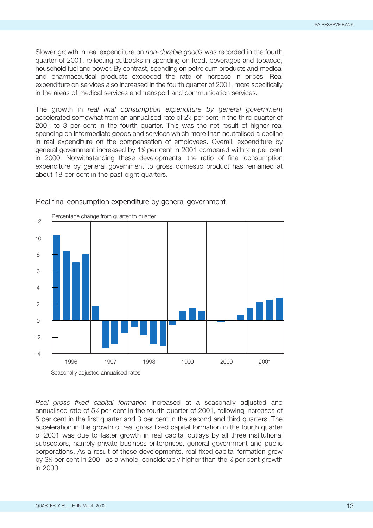Slower growth in real expenditure on *non-durable goods* was recorded in the fourth quarter of 2001, reflecting cutbacks in spending on food, beverages and tobacco, household fuel and power. By contrast, spending on petroleum products and medical and pharmaceutical products exceeded the rate of increase in prices. Real expenditure on services also increased in the fourth quarter of 2001, more specifically in the areas of medical services and transport and communication services.

The growth in *real final consumption expenditure by general government* accelerated somewhat from an annualised rate of 2½ per cent in the third quarter of 2001 to 3 per cent in the fourth quarter. This was the net result of higher real spending on intermediate goods and services which more than neutralised a decline in real expenditure on the compensation of employees. Overall, expenditure by general government increased by 1½ per cent in 2001 compared with ½ a per cent in 2000. Notwithstanding these developments, the ratio of final consumption expenditure by general government to gross domestic product has remained at about 18 per cent in the past eight quarters.



Real final consumption expenditure by general government

*Real gross fixed capital formation* increased at a seasonally adjusted and annualised rate of 5<sup>1/2</sup> per cent in the fourth quarter of 2001, following increases of 5 per cent in the first quarter and 3 per cent in the second and third quarters. The acceleration in the growth of real gross fixed capital formation in the fourth quarter of 2001 was due to faster growth in real capital outlays by all three institutional subsectors, namely private business enterprises, general government and public corporations. As a result of these developments, real fixed capital formation grew by 3<sup>1/2</sup> per cent in 2001 as a whole, considerably higher than the 1/2 per cent growth in 2000.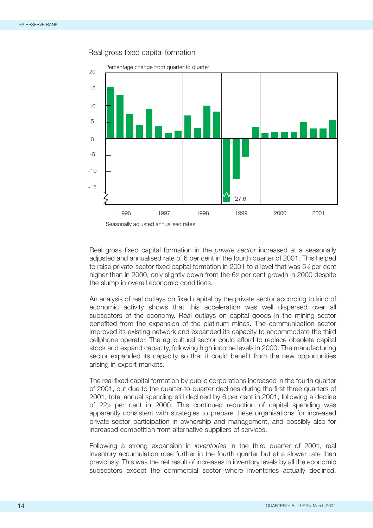

#### Real gross fixed capital formation

Real gross fixed capital formation in the *private sector* increased at a seasonally adjusted and annualised rate of 6 per cent in the fourth quarter of 2001. This helped to raise private-sector fixed capital formation in 2001 to a level that was 5½ per cent higher than in 2000, only slightly down from the 6½ per cent growth in 2000 despite the slump in overall economic conditions.

An analysis of real outlays on fixed capital by the private sector according to kind of economic activity shows that this acceleration was well dispersed over all subsectors of the economy. Real outlays on capital goods in the mining sector benefited from the expansion of the platinum mines. The communication sector improved its existing network and expanded its capacity to accommodate the third cellphone operator. The agricultural sector could afford to replace obsolete capital stock and expand capacity, following high income levels in 2000. The manufacturing sector expanded its capacity so that it could benefit from the new opportunities arising in export markets.

The real fixed capital formation by public corporations increased in the fourth quarter of 2001, but due to the quarter-to-quarter declines during the first three quarters of 2001, total annual spending still declined by 6 per cent in 2001, following a decline of 22% per cent in 2000. This continued reduction of capital spending was apparently consistent with strategies to prepare these organisations for increased private-sector participation in ownership and management, and possibly also for increased competition from alternative suppliers of services.

Following a strong expansion in *inventories* in the third quarter of 2001, real inventory accumulation rose further in the fourth quarter but at a slower rate than previously. This was the net result of increases in inventory levels by all the economic subsectors except the commercial sector where inventories actually declined.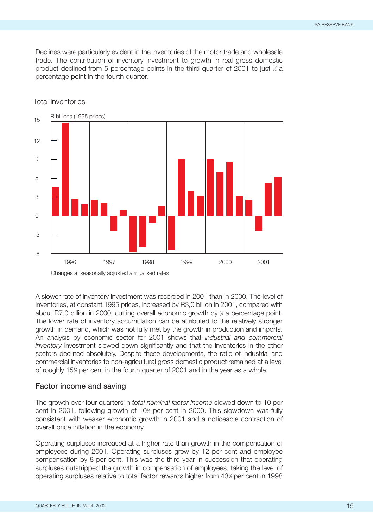Declines were particularly evident in the inventories of the motor trade and wholesale trade. The contribution of inventory investment to growth in real gross domestic product declined from 5 percentage points in the third quarter of 2001 to just  $\frac{1}{2}$  a percentage point in the fourth quarter.



# Total inventories

A slower rate of inventory investment was recorded in 2001 than in 2000. The level of inventories, at constant 1995 prices, increased by R3,0 billion in 2001, compared with about R7,0 billion in 2000, cutting overall economic growth by  $\frac{1}{2}$  a percentage point. The lower rate of inventory accumulation can be attributed to the relatively stronger growth in demand, which was not fully met by the growth in production and imports. An analysis by economic sector for 2001 shows that *industrial and commercial inventory* investment slowed down significantly and that the inventories in the other sectors declined absolutely. Despite these developments, the ratio of industrial and commercial inventories to non-agricultural gross domestic product remained at a level of roughly 15<sup> $\frac{1}{2}$ </sup> per cent in the fourth quarter of 2001 and in the year as a whole.

#### **Factor income and saving**

The growth over four quarters in *total nominal factor income* slowed down to 10 per cent in 2001, following growth of 10<sup>1</sup>/<sub>2</sub> per cent in 2000. This slowdown was fully consistent with weaker economic growth in 2001 and a noticeable contraction of overall price inflation in the economy.

Operating surpluses increased at a higher rate than growth in the compensation of employees during 2001. Operating surpluses grew by 12 per cent and employee compensation by 8 per cent. This was the third year in succession that operating surpluses outstripped the growth in compensation of employees, taking the level of operating surpluses relative to total factor rewards higher from 431 ⁄2 per cent in 1998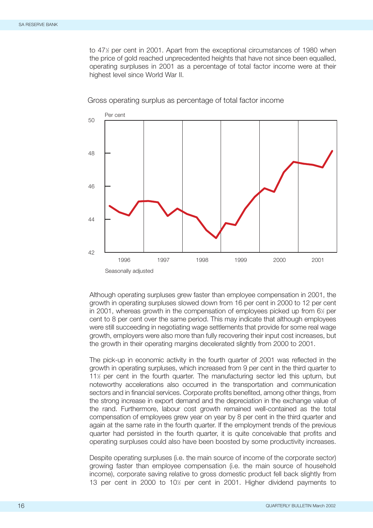to 47% per cent in 2001. Apart from the exceptional circumstances of 1980 when the price of gold reached unprecedented heights that have not since been equalled, operating surpluses in 2001 as a percentage of total factor income were at their highest level since World War II.



Gross operating surplus as percentage of total factor income

Although operating surpluses grew faster than employee compensation in 2001, the growth in operating surpluses slowed down from 16 per cent in 2000 to 12 per cent in 2001, whereas growth in the compensation of employees picked up from 6<sup>1</sup>/<sub>2</sub> per cent to 8 per cent over the same period. This may indicate that although employees were still succeeding in negotiating wage settlements that provide for some real wage growth, employers were also more than fully recovering their input cost increases, but the growth in their operating margins decelerated slightly from 2000 to 2001.

The pick-up in economic activity in the fourth quarter of 2001 was reflected in the growth in operating surpluses, which increased from 9 per cent in the third quarter to 11<sup>%</sup> per cent in the fourth quarter. The manufacturing sector led this upturn, but noteworthy accelerations also occurred in the transportation and communication sectors and in financial services. Corporate profits benefited, among other things, from the strong increase in export demand and the depreciation in the exchange value of the rand. Furthermore, labour cost growth remained well-contained as the total compensation of employees grew year on year by 8 per cent in the third quarter and again at the same rate in the fourth quarter. If the employment trends of the previous quarter had persisted in the fourth quarter, it is quite conceivable that profits and operating surpluses could also have been boosted by some productivity increases.

Despite operating surpluses (i.e. the main source of income of the corporate sector) growing faster than employee compensation (i.e. the main source of household income), corporate saving relative to gross domestic product fell back slightly from 13 per cent in 2000 to 10<sup>1</sup> per cent in 2001. Higher dividend payments to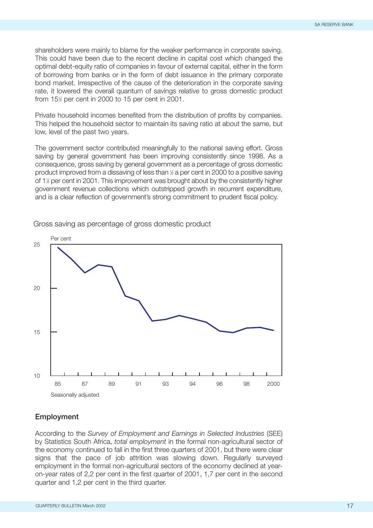shareholders were mainly to blame for the weaker performance in corporate saving. This could have been due to the recent decline in capital cost which changed the optimal debt-equity ratio of companies in favour of external capital, either in the form of borrowing from banks or in the form of debt issuance in the primary corporate bond market. Irrespective of the cause of the deterioration in the corporate saving rate, it lowered the overall quantum of savings relative to gross domestic product from 151 ⁄2 per cent in 2000 to 15 per cent in 2001.

Private household incomes benefited from the distribution of profits by companies. This helped the household sector to maintain its saving ratio at about the same, but low, level of the past two years.

The government sector contributed meaningfully to the national saving effort. Gross saving by general government has been improving consistently since 1998. As a consequence, gross saving by general government as a percentage of gross domestic product improved from a dissaving of less than ½ a per cent in 2000 to a positive saving of 1<sup>1</sup>/<sub>2</sub> per cent in 2001. This improvement was brought about by the consistently higher government revenue collections which outstripped growth in recurrent expenditure, and is a clear reflection of government's strong commitment to prudent fiscal policy.



## Gross saving as percentage of gross domestic product

## **Employment**

According to the *Survey of Employment and Earnings in Selected Industries* (SEE) by Statistics South Africa, *total employment* in the formal non-agricultural sector of the economy continued to fall in the first three quarters of 2001, but there were clear signs that the pace of job attrition was slowing down. Regularly surveyed employment in the formal non-agricultural sectors of the economy declined at yearon-year rates of 2,2 per cent in the first quarter of 2001, 1,7 per cent in the second quarter and 1,2 per cent in the third quarter.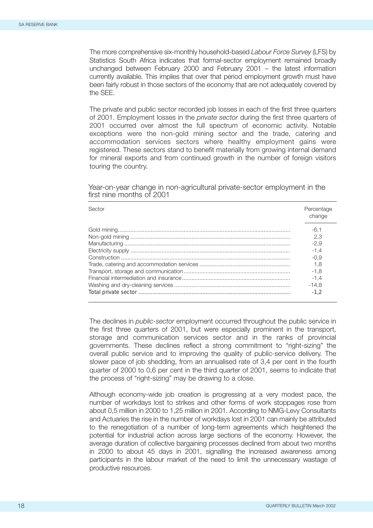The more comprehensive six-monthly household-based *Labour Force Survey* (LFS) by Statistics South Africa indicates that formal-sector employment remained broadly unchanged between February 2000 and February 2001 – the latest information currently available. This implies that over that period employment growth must have been fairly robust in those sectors of the economy that are not adequately covered by the SEE.

The private and public sector recorded job losses in each of the first three quarters of 2001. Employment losses in the *private sector* during the first three quarters of 2001 occurred over almost the full spectrum of economic activity. Notable exceptions were the non-gold mining sector and the trade, catering and accommodation services sectors where healthy employment gains were registered. These sectors stand to benefit materially from growing internal demand for mineral exports and from continued growth in the number of foreign visitors touring the country.

Year-on-year change in non-agricultural private-sector employment in the first nine months of 2001

| Sector | Percentage<br>change                                                        |
|--------|-----------------------------------------------------------------------------|
|        | -6.1<br>2.3<br>$-2.9$<br>$-1.4$<br>-0.9<br>1.8<br>-1.8<br>$-1.4$<br>$-14.8$ |
|        |                                                                             |

The declines in *public-sector* employment occurred throughout the public service in the first three quarters of 2001, but were especially prominent in the transport, storage and communication services sector and in the ranks of provincial governments. These declines reflect a strong commitment to "right-sizing" the overall public service and to improving the quality of public-service delivery. The slower pace of job shedding, from an annualised rate of 3,4 per cent in the fourth quarter of 2000 to 0,6 per cent in the third quarter of 2001, seems to indicate that the process of "right-sizing" may be drawing to a close.

Although economy-wide job creation is progressing at a very modest pace, the number of workdays lost to strikes and other forms of work stoppages rose from about 0,5 million in 2000 to 1,25 million in 2001. According to NMG-Levy Consultants and Actuaries the rise in the number of workdays lost in 2001 can mainly be attributed to the renegotiation of a number of long-term agreements which heightened the potential for industrial action across large sections of the economy. However, the average duration of collective bargaining processes declined from about two months in 2000 to about 45 days in 2001, signalling the increased awareness among participants in the labour market of the need to limit the unnecessary wastage of productive resources.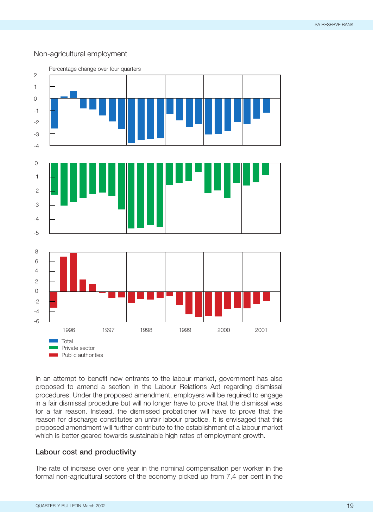## Non-agricultural employment



In an attempt to benefit new entrants to the labour market, government has also proposed to amend a section in the Labour Relations Act regarding dismissal procedures. Under the proposed amendment, employers will be required to engage in a fair dismissal procedure but will no longer have to prove that the dismissal was for a fair reason. Instead, the dismissed probationer will have to prove that the reason for discharge constitutes an unfair labour practice. It is envisaged that this proposed amendment will further contribute to the establishment of a labour market which is better geared towards sustainable high rates of employment growth.

#### **Labour cost and productivity**

The rate of increase over one year in the nominal compensation per worker in the formal non-agricultural sectors of the economy picked up from 7,4 per cent in the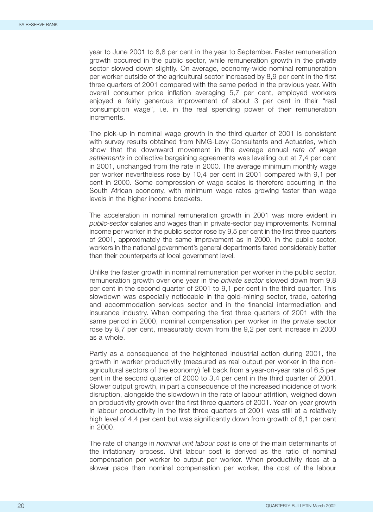year to June 2001 to 8,8 per cent in the year to September. Faster remuneration growth occurred in the public sector, while remuneration growth in the private sector slowed down slightly. On average, economy-wide nominal remuneration per worker outside of the agricultural sector increased by 8,9 per cent in the first three quarters of 2001 compared with the same period in the previous year. With overall consumer price inflation averaging 5,7 per cent, employed workers enjoyed a fairly generous improvement of about 3 per cent in their "real consumption wage", i.e. in the real spending power of their remuneration increments.

The pick-up in nominal wage growth in the third quarter of 2001 is consistent with survey results obtained from NMG-Levy Consultants and Actuaries, which show that the downward movement in the average annual *rate of wage settlements* in collective bargaining agreements was levelling out at 7,4 per cent in 2001, unchanged from the rate in 2000. The average minimum monthly wage per worker nevertheless rose by 10,4 per cent in 2001 compared with 9,1 per cent in 2000. Some compression of wage scales is therefore occurring in the South African economy, with minimum wage rates growing faster than wage levels in the higher income brackets.

The acceleration in nominal remuneration growth in 2001 was more evident in *public-sector* salaries and wages than in private-sector pay improvements. Nominal income per worker in the public sector rose by 9,5 per cent in the first three quarters of 2001, approximately the same improvement as in 2000. In the public sector, workers in the national government's general departments fared considerably better than their counterparts at local government level.

Unlike the faster growth in nominal remuneration per worker in the public sector, remuneration growth over one year in the *private sector* slowed down from 9,8 per cent in the second quarter of 2001 to 9,1 per cent in the third quarter. This slowdown was especially noticeable in the gold-mining sector, trade, catering and accommodation services sector and in the financial intermediation and insurance industry. When comparing the first three quarters of 2001 with the same period in 2000, nominal compensation per worker in the private sector rose by 8,7 per cent, measurably down from the 9,2 per cent increase in 2000 as a whole.

Partly as a consequence of the heightened industrial action during 2001, the growth in worker productivity (measured as real output per worker in the nonagricultural sectors of the economy) fell back from a year-on-year rate of 6,5 per cent in the second quarter of 2000 to 3,4 per cent in the third quarter of 2001. Slower output growth, in part a consequence of the increased incidence of work disruption, alongside the slowdown in the rate of labour attrition, weighed down on productivity growth over the first three quarters of 2001. Year-on-year growth in labour productivity in the first three quarters of 2001 was still at a relatively high level of 4,4 per cent but was significantly down from growth of 6,1 per cent in 2000.

The rate of change in *nominal unit labour cost* is one of the main determinants of the inflationary process. Unit labour cost is derived as the ratio of nominal compensation per worker to output per worker. When productivity rises at a slower pace than nominal compensation per worker, the cost of the labour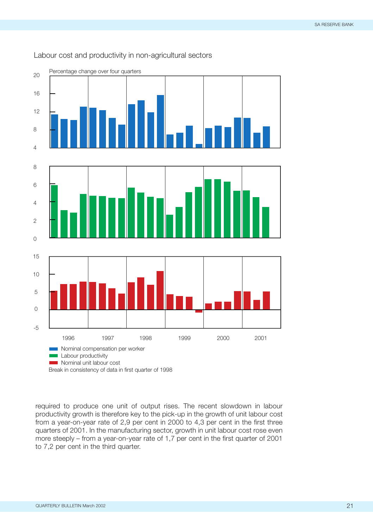

# Labour cost and productivity in non-agricultural sectors

required to produce one unit of output rises. The recent slowdown in labour productivity growth is therefore key to the pick-up in the growth of unit labour cost from a year-on-year rate of 2,9 per cent in 2000 to 4,3 per cent in the first three quarters of 2001. In the manufacturing sector, growth in unit labour cost rose even more steeply – from a year-on-year rate of 1,7 per cent in the first quarter of 2001 to 7,2 per cent in the third quarter.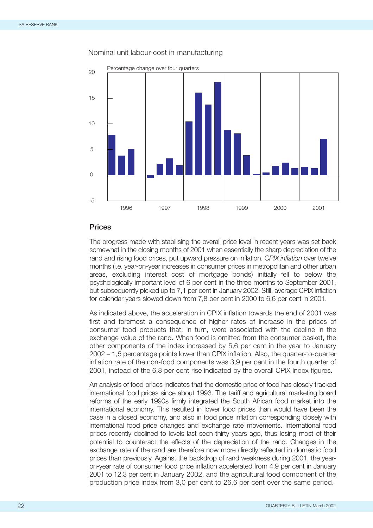

#### Nominal unit labour cost in manufacturing

#### **Prices**

The progress made with stabilising the overall price level in recent years was set back somewhat in the closing months of 2001 when essentially the sharp depreciation of the rand and rising food prices, put upward pressure on inflation. *CPIX inflation* over twelve months (i.e. year-on-year increases in consumer prices in metropolitan and other urban areas, excluding interest cost of mortgage bonds) initially fell to below the psychologically important level of 6 per cent in the three months to September 2001, but subsequently picked up to 7,1 per cent in January 2002. Still, average CPIX inflation for calendar years slowed down from 7,8 per cent in 2000 to 6,6 per cent in 2001.

As indicated above, the acceleration in CPIX inflation towards the end of 2001 was first and foremost a consequence of higher rates of increase in the prices of consumer food products that, in turn, were associated with the decline in the exchange value of the rand. When food is omitted from the consumer basket, the other components of the index increased by 5,6 per cent in the year to January 2002 – 1,5 percentage points lower than CPIX inflation. Also, the quarter-to-quarter inflation rate of the non-food components was 3,9 per cent in the fourth quarter of 2001, instead of the 6,8 per cent rise indicated by the overall CPIX index figures.

An analysis of food prices indicates that the domestic price of food has closely tracked international food prices since about 1993. The tariff and agricultural marketing board reforms of the early 1990s firmly integrated the South African food market into the international economy. This resulted in lower food prices than would have been the case in a closed economy, and also in food price inflation corresponding closely with international food price changes and exchange rate movements. International food prices recently declined to levels last seen thirty years ago, thus losing most of their potential to counteract the effects of the depreciation of the rand. Changes in the exchange rate of the rand are therefore now more directly reflected in domestic food prices than previously. Against the backdrop of rand weakness during 2001, the yearon-year rate of consumer food price inflation accelerated from 4,9 per cent in January 2001 to 12,3 per cent in January 2002, and the agricultural food component of the production price index from 3,0 per cent to 26,6 per cent over the same period.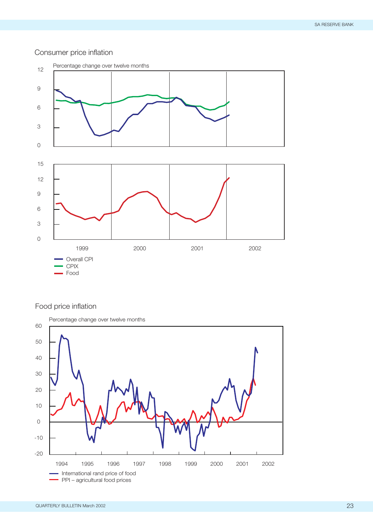# Consumer price inflation



# Food price inflation

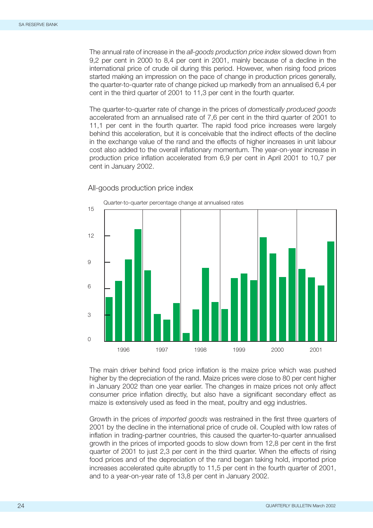The annual rate of increase in the *all-goods production price index* slowed down from 9,2 per cent in 2000 to 8,4 per cent in 2001, mainly because of a decline in the international price of crude oil during this period. However, when rising food prices started making an impression on the pace of change in production prices generally, the quarter-to-quarter rate of change picked up markedly from an annualised 6,4 per cent in the third quarter of 2001 to 11,3 per cent in the fourth quarter.

The quarter-to-quarter rate of change in the prices of *domestically produced goods* accelerated from an annualised rate of 7,6 per cent in the third quarter of 2001 to 11,1 per cent in the fourth quarter. The rapid food price increases were largely behind this acceleration, but it is conceivable that the indirect effects of the decline in the exchange value of the rand and the effects of higher increases in unit labour cost also added to the overall inflationary momentum. The year-on-year increase in production price inflation accelerated from 6,9 per cent in April 2001 to 10,7 per cent in January 2002.



All-goods production price index

The main driver behind food price inflation is the maize price which was pushed higher by the depreciation of the rand. Maize prices were close to 80 per cent higher in January 2002 than one year earlier. The changes in maize prices not only affect consumer price inflation directly, but also have a significant secondary effect as maize is extensively used as feed in the meat, poultry and egg industries.

Growth in the prices of *imported goods* was restrained in the first three quarters of 2001 by the decline in the international price of crude oil. Coupled with low rates of inflation in trading-partner countries, this caused the quarter-to-quarter annualised growth in the prices of imported goods to slow down from 12,8 per cent in the first quarter of 2001 to just 2,3 per cent in the third quarter. When the effects of rising food prices and of the depreciation of the rand began taking hold, imported price increases accelerated quite abruptly to 11,5 per cent in the fourth quarter of 2001, and to a year-on-year rate of 13,8 per cent in January 2002.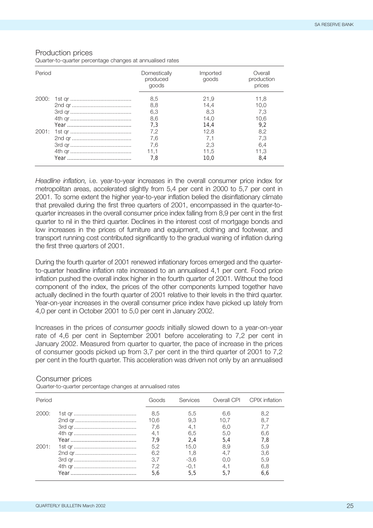#### Production prices

Quarter-to-quarter percentage changes at annualised rates

| Period | Domestically<br>produced<br>goods | Imported<br>goods | Overall<br>production<br>prices |
|--------|-----------------------------------|-------------------|---------------------------------|
| 2000:  | 8,5                               | 21.9              | 11.8                            |
|        | 8,8                               | 14.4              | 10.0                            |
|        | 6,3                               | 8.3               | 7.3                             |
|        | 8,6                               | 14.0              | 10.6                            |
|        | 7.3                               | 14.4              | 9.2                             |
| 2001:  | 7.2                               | 12.8              | 8,2                             |
|        | 7.6                               | 7.1               | 7.3                             |
|        | 7,6                               | 2.3               | 6.4                             |
|        | 11.1                              | 11.5              | 11.3                            |
|        | 7.8                               | 10.0              | 8.4                             |

*Headline inflation,* i.e. year-to-year increases in the overall consumer price index for metropolitan areas, accelerated slightly from 5,4 per cent in 2000 to 5,7 per cent in 2001. To some extent the higher year-to-year inflation belied the disinflationary climate that prevailed during the first three quarters of 2001, encompassed in the quarter-toquarter increases in the overall consumer price index falling from 8,9 per cent in the first quarter to nil in the third quarter. Declines in the interest cost of mortgage bonds and low increases in the prices of furniture and equipment, clothing and footwear, and transport running cost contributed significantly to the gradual waning of inflation during the first three quarters of 2001.

During the fourth quarter of 2001 renewed inflationary forces emerged and the quarterto-quarter headline inflation rate increased to an annualised 4,1 per cent. Food price inflation pushed the overall index higher in the fourth quarter of 2001. Without the food component of the index, the prices of the other components lumped together have actually declined in the fourth quarter of 2001 relative to their levels in the third quarter. Year-on-year increases in the overall consumer price index have picked up lately from 4,0 per cent in October 2001 to 5,0 per cent in January 2002.

Increases in the prices of *consumer goods* initially slowed down to a year-on-year rate of 4,6 per cent in September 2001 before accelerating to 7,2 per cent in January 2002. Measured from quarter to quarter, the pace of increase in the prices of consumer goods picked up from 3,7 per cent in the third quarter of 2001 to 7,2 per cent in the fourth quarter. This acceleration was driven not only by an annualised

#### Consumer prices

Quarter-to-quarter percentage changes at annualised rates

| Period | Goods                            | <b>Services</b>                        |                                  | Overall CPI CPIX inflation      |
|--------|----------------------------------|----------------------------------------|----------------------------------|---------------------------------|
| 2000:  | 8.5<br>10,6<br>7.6<br>4.1<br>7.9 | 5,5<br>9,3<br>4.1<br>6,5<br>2.4        | 6.6<br>10.7<br>6.0<br>5,0<br>5.4 | 8,2<br>8,7<br>7.7<br>6,6<br>7.8 |
| 2001:  | 5.2<br>6,2<br>3.7<br>7.2         | 15.0<br>1,8<br>$-3,6$<br>$-0.1$<br>5.5 | 8.9<br>4.7<br>0.0<br>4.1         | 5,9<br>3,6<br>5,9<br>6,8<br>6,6 |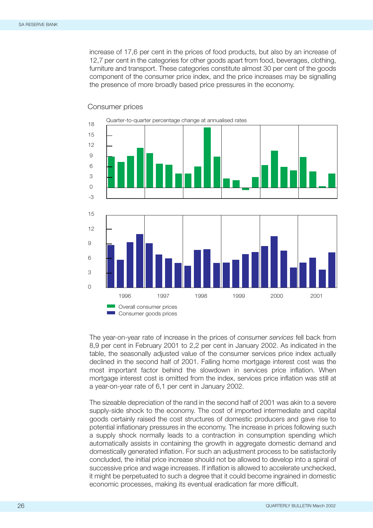increase of 17,6 per cent in the prices of food products, but also by an increase of 12,7 per cent in the categories for other goods apart from food, beverages, clothing, furniture and transport. These categories constitute almost 30 per cent of the goods component of the consumer price index, and the price increases may be signalling the presence of more broadly based price pressures in the economy.



#### Consumer prices

The year-on-year rate of increase in the prices of *consumer services* fell back from 8,9 per cent in February 2001 to 2,2 per cent in January 2002. As indicated in the table, the seasonally adjusted value of the consumer services price index actually declined in the second half of 2001. Falling home mortgage interest cost was the most important factor behind the slowdown in services price inflation. When mortgage interest cost is omitted from the index, services price inflation was still at a year-on-year rate of 6,1 per cent in January 2002.

The sizeable depreciation of the rand in the second half of 2001 was akin to a severe supply-side shock to the economy. The cost of imported intermediate and capital goods certainly raised the cost structures of domestic producers and gave rise to potential inflationary pressures in the economy. The increase in prices following such a supply shock normally leads to a contraction in consumption spending which automatically assists in containing the growth in aggregate domestic demand and domestically generated inflation. For such an adjustment process to be satisfactorily concluded, the initial price increase should not be allowed to develop into a spiral of successive price and wage increases. If inflation is allowed to accelerate unchecked, it might be perpetuated to such a degree that it could become ingrained in domestic economic processes, making its eventual eradication far more difficult.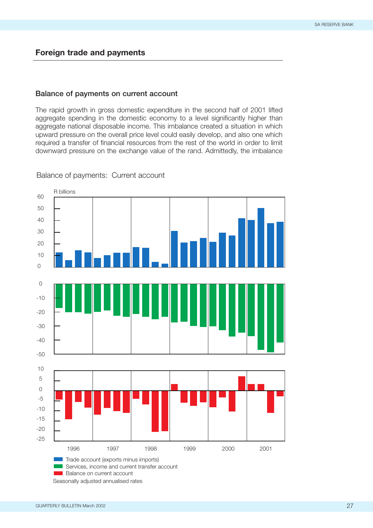# **Foreign trade and payments**

## **Balance of payments on current account**

The rapid growth in gross domestic expenditure in the second half of 2001 lifted aggregate spending in the domestic economy to a level significantly higher than aggregate national disposable income. This imbalance created a situation in which upward pressure on the overall price level could easily develop, and also one which required a transfer of financial resources from the rest of the world in order to limit downward pressure on the exchange value of the rand. Admittedly, the imbalance

1996 2001 1997 1998 1999 2000  $\overline{O}$ 10 20 30 40 50 60 -50 -40 -30 -20  $-10$  $\overline{O}$ -25 -20 -15 -10 -5  $\overline{O}$ 5 10 R billions Trade account (exports minus imports) Services, income and current transfer account **Balance on current account** 

Balance of payments: Current account

Seasonally adjusted annualised rates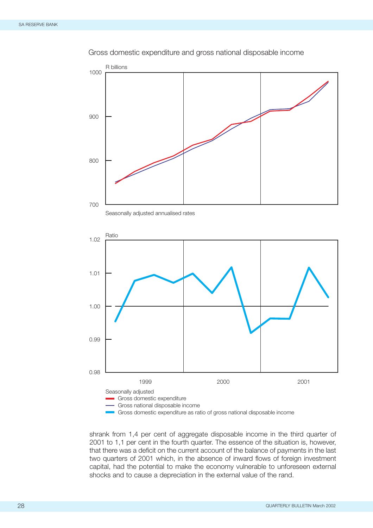

### Gross domestic expenditure and gross national disposable income





shrank from 1,4 per cent of aggregate disposable income in the third quarter of 2001 to 1,1 per cent in the fourth quarter. The essence of the situation is, however, that there was a deficit on the current account of the balance of payments in the last two quarters of 2001 which, in the absence of inward flows of foreign investment capital, had the potential to make the economy vulnerable to unforeseen external shocks and to cause a depreciation in the external value of the rand.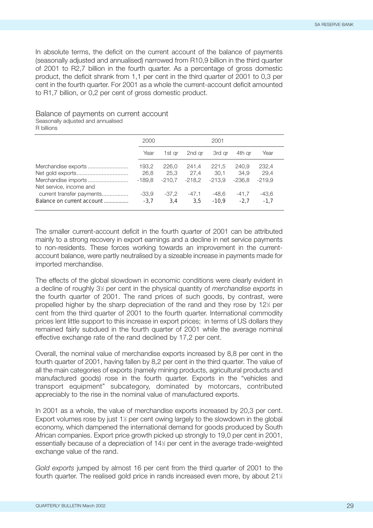In absolute terms, the deficit on the current account of the balance of payments (seasonally adjusted and annualised) narrowed from R10,9 billion in the third quarter of 2001 to R2,7 billion in the fourth quarter. As a percentage of gross domestic product, the deficit shrank from 1,1 per cent in the third quarter of 2001 to 0,3 per cent in the fourth quarter. For 2001 as a whole the current-account deficit amounted to R1,7 billion, or 0,2 per cent of gross domestic product.

#### Balance of payments on current account Seasonally adjusted and annualised

R billions

|                                                         | 2000              |                | 2001           |                  |                   |                   |
|---------------------------------------------------------|-------------------|----------------|----------------|------------------|-------------------|-------------------|
|                                                         | Year              | 1st ar         | 2nd ar         | 3rd ar           | 4th ar            | Year              |
|                                                         | 193,2<br>26,8     | 226.0<br>25.3  | 241.4<br>27.4  | 221.5<br>30.1    | 240.9<br>34.9     | 232.4<br>29.4     |
| Merchandise imports<br>Net service, income and          | $-189.8$          | $-210.7$       | $-218.2$       | -213.9           | -236.8            | $-219.9$          |
| current transfer payments<br>Balance on current account | $-33.9$<br>$-3.7$ | $-37.2$<br>3.4 | $-47.1$<br>3.5 | -48.6<br>$-10.9$ | $-41.7$<br>$-2.7$ | $-43.6$<br>$-1.7$ |

The smaller current-account deficit in the fourth quarter of 2001 can be attributed mainly to a strong recovery in export earnings and a decline in net service payments to non-residents. These forces working towards an improvement in the currentaccount balance, were partly neutralised by a sizeable increase in payments made for imported merchandise.

The effects of the global slowdown in economic conditions were clearly evident in a decline of roughly 31 ⁄2 per cent in the physical quantity of *merchandise exports* in the fourth quarter of 2001. The rand prices of such goods, by contrast, were propelled higher by the sharp depreciation of the rand and they rose by 12<sup>1</sup>/<sub>2</sub> per cent from the third quarter of 2001 to the fourth quarter. International commodity prices lent little support to this increase in export prices; in terms of US dollars they remained fairly subdued in the fourth quarter of 2001 while the average nominal effective exchange rate of the rand declined by 17,2 per cent.

Overall, the nominal value of merchandise exports increased by 8,8 per cent in the fourth quarter of 2001, having fallen by 8,2 per cent in the third quarter. The value of all the main categories of exports (namely mining products, agricultural products and manufactured goods) rose in the fourth quarter. Exports in the "vehicles and transport equipment" subcategory, dominated by motorcars, contributed appreciably to the rise in the nominal value of manufactured exports.

In 2001 as a whole, the value of merchandise exports increased by 20,3 per cent. Export volumes rose by just 1½ per cent owing largely to the slowdown in the global economy, which dampened the international demand for goods produced by South African companies. Export price growth picked up strongly to 19,0 per cent in 2001, essentially because of a depreciation of 141 ⁄2 per cent in the average trade-weighted exchange value of the rand.

*Gold exports* jumped by almost 16 per cent from the third quarter of 2001 to the fourth quarter. The realised gold price in rands increased even more, by about 21½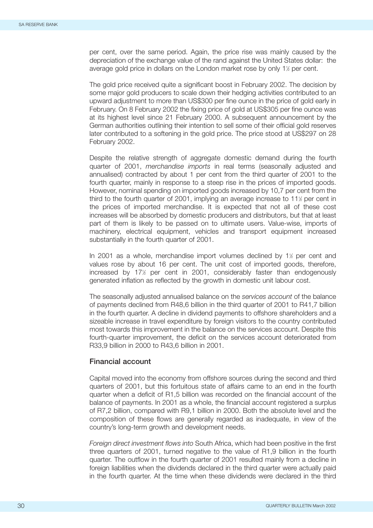per cent, over the same period. Again, the price rise was mainly caused by the depreciation of the exchange value of the rand against the United States dollar: the average gold price in dollars on the London market rose by only 1½ per cent.

The gold price received quite a significant boost in February 2002. The decision by some major gold producers to scale down their hedging activities contributed to an upward adjustment to more than US\$300 per fine ounce in the price of gold early in February. On 8 February 2002 the fixing price of gold at US\$305 per fine ounce was at its highest level since 21 February 2000. A subsequent announcement by the German authorities outlining their intention to sell some of their official gold reserves later contributed to a softening in the gold price. The price stood at US\$297 on 28 February 2002.

Despite the relative strength of aggregate domestic demand during the fourth quarter of 2001, *merchandise imports* in real terms (seasonally adjusted and annualised) contracted by about 1 per cent from the third quarter of 2001 to the fourth quarter, mainly in response to a steep rise in the prices of imported goods. However, nominal spending on imported goods increased by 10,7 per cent from the third to the fourth quarter of 2001, implying an average increase to 11<sup>k</sup> per cent in the prices of imported merchandise. It is expected that not all of these cost increases will be absorbed by domestic producers and distributors, but that at least part of them is likely to be passed on to ultimate users. Value-wise, imports of machinery, electrical equipment, vehicles and transport equipment increased substantially in the fourth quarter of 2001.

In 2001 as a whole, merchandise import volumes declined by 1<sup>1/2</sup> per cent and values rose by about 16 per cent. The unit cost of imported goods, therefore, increased by 17½ per cent in 2001, considerably faster than endogenously generated inflation as reflected by the growth in domestic unit labour cost.

The seasonally adjusted annualised balance on the *services account* of the balance of payments declined from R48,6 billion in the third quarter of 2001 to R41,7 billion in the fourth quarter. A decline in dividend payments to offshore shareholders and a sizeable increase in travel expenditure by foreign visitors to the country contributed most towards this improvement in the balance on the services account. Despite this fourth-quarter improvement, the deficit on the services account deteriorated from R33,9 billion in 2000 to R43,6 billion in 2001.

## **Financial account**

Capital moved into the economy from offshore sources during the second and third quarters of 2001, but this fortuitous state of affairs came to an end in the fourth quarter when a deficit of R1,5 billion was recorded on the financial account of the balance of payments. In 2001 as a whole, the financial account registered a surplus of R7,2 billion, compared with R9,1 billion in 2000. Both the absolute level and the composition of these flows are generally regarded as inadequate, in view of the country's long-term growth and development needs.

*Foreign direct investment flows into* South Africa, which had been positive in the first three quarters of 2001, turned negative to the value of R1,9 billion in the fourth quarter. The outflow in the fourth quarter of 2001 resulted mainly from a decline in foreign liabilities when the dividends declared in the third quarter were actually paid in the fourth quarter. At the time when these dividends were declared in the third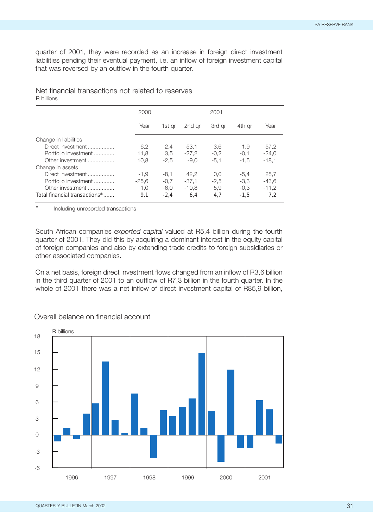quarter of 2001, they were recorded as an increase in foreign direct investment liabilities pending their eventual payment, i.e. an inflow of foreign investment capital that was reversed by an outflow in the fourth quarter.

#### Net financial transactions not related to reserves R billions

|                               | 2000    |        |         | 2001   |        |         |
|-------------------------------|---------|--------|---------|--------|--------|---------|
|                               | Year    | 1st ar | 2nd ar  | 3rd ar | 4th ar | Year    |
| Change in liabilities         |         |        |         |        |        |         |
| Direct investment             | 6.2     | 2.4    | 53.1    | 3.6    | $-1.9$ | 57.2    |
| Portfolio investment          | 11.8    | 3.5    | $-27.2$ | $-0.2$ | $-0.1$ | $-24.0$ |
| Other investment              | 10.8    | $-2.5$ | $-9.0$  | $-5.1$ | $-1.5$ | $-18.1$ |
| Change in assets              |         |        |         |        |        |         |
| Direct investment             | $-1.9$  | $-8,1$ | 42.2    | 0.0    | $-5.4$ | 28.7    |
| Portfolio investment          | $-25.6$ | $-0.7$ | $-37.1$ | $-2,5$ | $-3.3$ | $-43.6$ |
| Other investment              | 1.0     | $-6.0$ | $-10.8$ | 5.9    | $-0.3$ | $-11.2$ |
| Total financial transactions* | 9.1     | $-2.4$ | 6.4     | 4.7    | $-1.5$ | 7.2     |

Including unrecorded transactions

South African companies *exported capital* valued at R5,4 billion during the fourth quarter of 2001. They did this by acquiring a dominant interest in the equity capital of foreign companies and also by extending trade credits to foreign subsidiaries or other associated companies.

On a net basis, foreign direct investment flows changed from an inflow of R3,6 billion in the third quarter of 2001 to an outflow of R7,3 billion in the fourth quarter. In the whole of 2001 there was a net inflow of direct investment capital of R85,9 billion,



Overall balance on financial account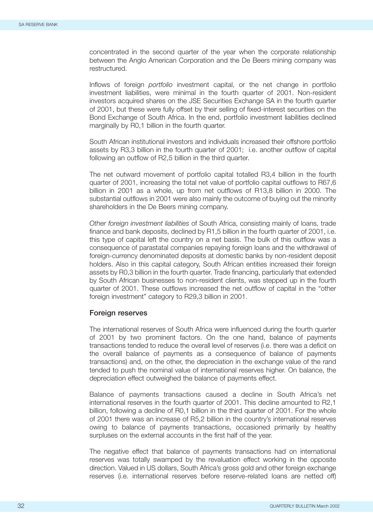concentrated in the second quarter of the year when the corporate relationship between the Anglo American Corporation and the De Beers mining company was restructured.

Inflows of foreign *portfolio* investment capital, or the net change in portfolio investment liabilities, were minimal in the fourth quarter of 2001. Non-resident investors acquired shares on the JSE Securities Exchange SA in the fourth quarter of 2001, but these were fully offset by their selling of fixed-interest securities on the Bond Exchange of South Africa. In the end, portfolio investment liabilities declined marginally by R0,1 billion in the fourth quarter.

South African institutional investors and individuals increased their offshore portfolio assets by R3,3 billion in the fourth quarter of 2001; i.e. another outflow of capital following an outflow of R2,5 billion in the third quarter.

The net outward movement of portfolio capital totalled R3,4 billion in the fourth quarter of 2001, increasing the total net value of portfolio capital outflows to R67,6 billion in 2001 as a whole, up from net outflows of R13,8 billion in 2000. The substantial outflows in 2001 were also mainly the outcome of buying out the minority shareholders in the De Beers mining company.

*Other foreign investment liabilities* of South Africa, consisting mainly of loans, trade finance and bank deposits, declined by R1,5 billion in the fourth quarter of 2001, i.e. this type of capital left the country on a net basis. The bulk of this outflow was a consequence of parastatal companies repaying foreign loans and the withdrawal of foreign-currency denominated deposits at domestic banks by non-resident deposit holders. Also in this capital category, South African entities increased their foreign assets by R0,3 billion in the fourth quarter. Trade financing, particularly that extended by South African businesses to non-resident clients, was stepped up in the fourth quarter of 2001. These outflows increased the net outflow of capital in the "other foreign investment" category to R29,3 billion in 2001.

#### **Foreign reserves**

The international reserves of South Africa were influenced during the fourth quarter of 2001 by two prominent factors. On the one hand, balance of payments transactions tended to reduce the overall level of reserves (i.e. there was a deficit on the overall balance of payments as a consequence of balance of payments transactions) and, on the other, the depreciation in the exchange value of the rand tended to push the nominal value of international reserves higher. On balance, the depreciation effect outweighed the balance of payments effect.

Balance of payments transactions caused a decline in South Africa's net international reserves in the fourth quarter of 2001. This decline amounted to R2,1 billion, following a decline of R0,1 billion in the third quarter of 2001. For the whole of 2001 there was an increase of R5,2 billion in the country's international reserves owing to balance of payments transactions, occasioned primarily by healthy surpluses on the external accounts in the first half of the year.

The negative effect that balance of payments transactions had on international reserves was totally swamped by the revaluation effect working in the opposite direction. Valued in US dollars, South Africa's gross gold and other foreign exchange reserves (i.e. international reserves before reserve-related loans are netted off)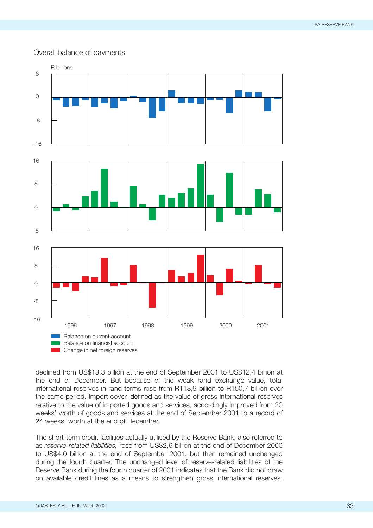## Overall balance of payments



declined from US\$13,3 billion at the end of September 2001 to US\$12,4 billion at the end of December. But because of the weak rand exchange value, total international reserves in rand terms rose from R118,9 billion to R150,7 billion over the same period. Import cover, defined as the value of gross international reserves relative to the value of imported goods and services, accordingly improved from 20 weeks' worth of goods and services at the end of September 2001 to a record of 24 weeks' worth at the end of December.

The short-term credit facilities actually utilised by the Reserve Bank, also referred to as *reserve-related liabilities,* rose from US\$2,6 billion at the end of December 2000 to US\$4,0 billion at the end of September 2001, but then remained unchanged during the fourth quarter. The unchanged level of reserve-related liabilities of the Reserve Bank during the fourth quarter of 2001 indicates that the Bank did not draw on available credit lines as a means to strengthen gross international reserves.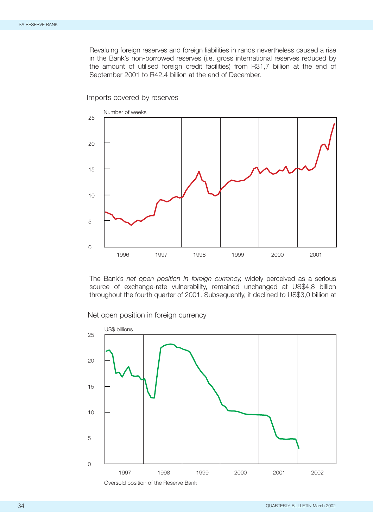Revaluing foreign reserves and foreign liabilities in rands nevertheless caused a rise in the Bank's non-borrowed reserves (i.e. gross international reserves reduced by the amount of utilised foreign credit facilities) from R31,7 billion at the end of September 2001 to R42,4 billion at the end of December.



Imports covered by reserves

The Bank's *net open position in foreign currency,* widely perceived as a serious source of exchange-rate vulnerability, remained unchanged at US\$4,8 billion throughout the fourth quarter of 2001. Subsequently, it declined to US\$3,0 billion at

Net open position in foreign currency



Oversold position of the Reserve Bank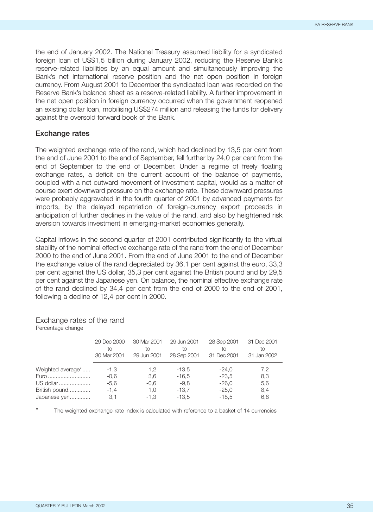the end of January 2002. The National Treasury assumed liability for a syndicated foreign loan of US\$1,5 billion during January 2002, reducing the Reserve Bank's reserve-related liabilities by an equal amount and simultaneously improving the Bank's net international reserve position and the net open position in foreign currency. From August 2001 to December the syndicated loan was recorded on the Reserve Bank's balance sheet as a reserve-related liability. A further improvement in the net open position in foreign currency occurred when the government reopened an existing dollar loan, mobilising US\$274 million and releasing the funds for delivery against the oversold forward book of the Bank.

#### **Exchange rates**

The weighted exchange rate of the rand, which had declined by 13,5 per cent from the end of June 2001 to the end of September, fell further by 24,0 per cent from the end of September to the end of December. Under a regime of freely floating exchange rates, a deficit on the current account of the balance of payments, coupled with a net outward movement of investment capital, would as a matter of course exert downward pressure on the exchange rate. These downward pressures were probably aggravated in the fourth quarter of 2001 by advanced payments for imports, by the delayed repatriation of foreign-currency export proceeds in anticipation of further declines in the value of the rand, and also by heightened risk aversion towards investment in emerging-market economies generally.

Capital inflows in the second quarter of 2001 contributed significantly to the virtual stability of the nominal effective exchange rate of the rand from the end of December 2000 to the end of June 2001. From the end of June 2001 to the end of December the exchange value of the rand depreciated by 36,1 per cent against the euro, 33,3 per cent against the US dollar, 35,3 per cent against the British pound and by 29,5 per cent against the Japanese yen. On balance, the nominal effective exchange rate of the rand declined by 34,4 per cent from the end of 2000 to the end of 2001, following a decline of 12,4 per cent in 2000.

|                   | 29 Dec 2000 | 30 Mar 2001 | 29 Jun 2001 | 28 Sep 2001 | 31 Dec 2001 |
|-------------------|-------------|-------------|-------------|-------------|-------------|
|                   | to          | tΟ          | to          | to          | tο          |
|                   | 30 Mar 2001 | 29 Jun 2001 | 28 Sep 2001 | 31 Dec 2001 | 31 Jan 2002 |
| Weighted average* | $-1,3$      | 1.2         | $-13,5$     | $-24.0$     | 7,2         |
| Euro              | $-0.6$      | 3,6         | $-16.5$     | $-23.5$     | 8,3         |
| US dollar         | $-5,6$      | $-0,6$      | $-9,8$      | $-26,0$     | 5,6         |
| British pound     | $-1,4$      | 1,0         | $-13.7$     | $-25.0$     | 8,4         |
| Japanese yen      | 3.1         | $-1.3$      | $-13.5$     | $-18.5$     | 6,8         |

#### Exchange rates of the rand Percentage change

The weighted exchange-rate index is calculated with reference to a basket of 14 currencies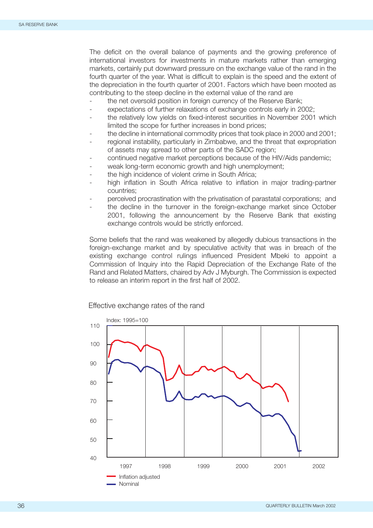The deficit on the overall balance of payments and the growing preference of international investors for investments in mature markets rather than emerging markets, certainly put downward pressure on the exchange value of the rand in the fourth quarter of the year. What is difficult to explain is the speed and the extent of the depreciation in the fourth quarter of 2001. Factors which have been mooted as contributing to the steep decline in the external value of the rand are

- the net oversold position in foreign currency of the Reserve Bank;
- expectations of further relaxations of exchange controls early in 2002;
- the relatively low yields on fixed-interest securities in November 2001 which limited the scope for further increases in bond prices;
- the decline in international commodity prices that took place in 2000 and 2001;
- regional instability, particularly in Zimbabwe, and the threat that expropriation of assets may spread to other parts of the SADC region;
- continued negative market perceptions because of the HIV/Aids pandemic;
- weak long-term economic growth and high unemployment;
- the high incidence of violent crime in South Africa;
- high inflation in South Africa relative to inflation in major trading-partner countries;
- perceived procrastination with the privatisation of parastatal corporations; and
- the decline in the turnover in the foreign-exchange market since October 2001, following the announcement by the Reserve Bank that existing exchange controls would be strictly enforced.

Some beliefs that the rand was weakened by allegedly dubious transactions in the foreign-exchange market and by speculative activity that was in breach of the existing exchange control rulings influenced President Mbeki to appoint a Commission of Inquiry into the Rapid Depreciation of the Exchange Rate of the Rand and Related Matters, chaired by Adv J Myburgh. The Commission is expected to release an interim report in the first half of 2002.

Effective exchange rates of the rand

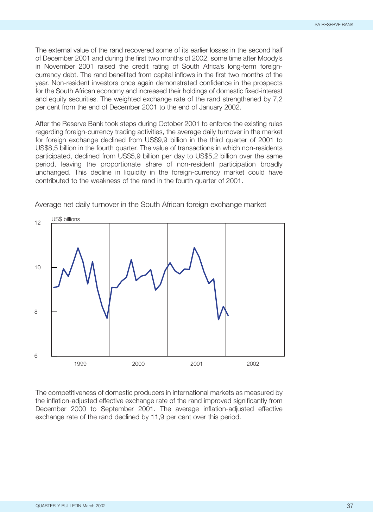The external value of the rand recovered some of its earlier losses in the second half of December 2001 and during the first two months of 2002, some time after Moody's in November 2001 raised the credit rating of South Africa's long-term foreigncurrency debt. The rand benefited from capital inflows in the first two months of the year. Non-resident investors once again demonstrated confidence in the prospects for the South African economy and increased their holdings of domestic fixed-interest and equity securities. The weighted exchange rate of the rand strengthened by 7,2 per cent from the end of December 2001 to the end of January 2002.

After the Reserve Bank took steps during October 2001 to enforce the existing rules regarding foreign-currency trading activities, the average daily turnover in the market for foreign exchange declined from US\$9,9 billion in the third quarter of 2001 to US\$8,5 billion in the fourth quarter. The value of transactions in which non-residents participated, declined from US\$5,9 billion per day to US\$5,2 billion over the same period, leaving the proportionate share of non-resident participation broadly unchanged. This decline in liquidity in the foreign-currency market could have contributed to the weakness of the rand in the fourth quarter of 2001.



Average net daily turnover in the South African foreign exchange market

The competitiveness of domestic producers in international markets as measured by the inflation-adjusted effective exchange rate of the rand improved significantly from December 2000 to September 2001. The average inflation-adjusted effective exchange rate of the rand declined by 11,9 per cent over this period.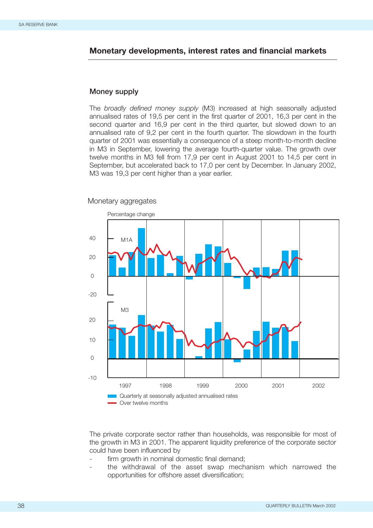# **Monetary developments, interest rates and financial markets**

# **Money supply**

The *broadly defined money supply* (M3) increased at high seasonally adjusted annualised rates of 19,5 per cent in the first quarter of 2001, 16,3 per cent in the second quarter and 16,9 per cent in the third quarter, but slowed down to an annualised rate of 9,2 per cent in the fourth quarter. The slowdown in the fourth quarter of 2001 was essentially a consequence of a steep month-to-month decline in M3 in September, lowering the average fourth-quarter value. The growth over twelve months in M3 fell from 17,9 per cent in August 2001 to 14,5 per cent in September, but accelerated back to 17,0 per cent by December. In January 2002, M3 was 19,3 per cent higher than a year earlier.

#### Monetary aggregates



The private corporate sector rather than households, was responsible for most of the growth in M3 in 2001. The apparent liquidity preference of the corporate sector could have been influenced by

- firm growth in nominal domestic final demand;
- the withdrawal of the asset swap mechanism which narrowed the opportunities for offshore asset diversification;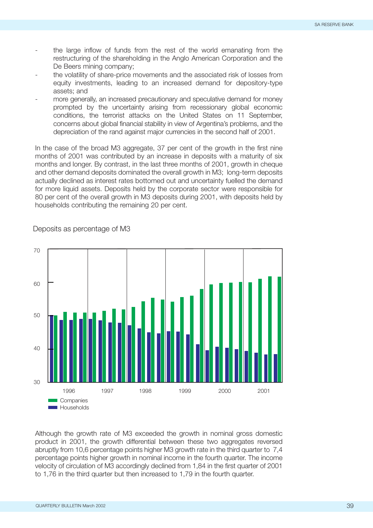- the large inflow of funds from the rest of the world emanating from the restructuring of the shareholding in the Anglo American Corporation and the De Beers mining company;
- the volatility of share-price movements and the associated risk of losses from equity investments, leading to an increased demand for depository-type assets; and
- more generally, an increased precautionary and speculative demand for money prompted by the uncertainty arising from recessionary global economic conditions, the terrorist attacks on the United States on 11 September, concerns about global financial stability in view of Argentina's problems, and the depreciation of the rand against major currencies in the second half of 2001.

In the case of the broad M3 aggregate, 37 per cent of the growth in the first nine months of 2001 was contributed by an increase in deposits with a maturity of six months and longer. By contrast, in the last three months of 2001, growth in cheque and other demand deposits dominated the overall growth in M3; long-term deposits actually declined as interest rates bottomed out and uncertainty fuelled the demand for more liquid assets. Deposits held by the corporate sector were responsible for 80 per cent of the overall growth in M3 deposits during 2001, with deposits held by households contributing the remaining 20 per cent.



Deposits as percentage of M3

Although the growth rate of M3 exceeded the growth in nominal gross domestic product in 2001, the growth differential between these two aggregates reversed abruptly from 10,6 percentage points higher M3 growth rate in the third quarter to 7,4 percentage points higher growth in nominal income in the fourth quarter. The income velocity of circulation of M3 accordingly declined from 1,84 in the first quarter of 2001 to 1,76 in the third quarter but then increased to 1,79 in the fourth quarter.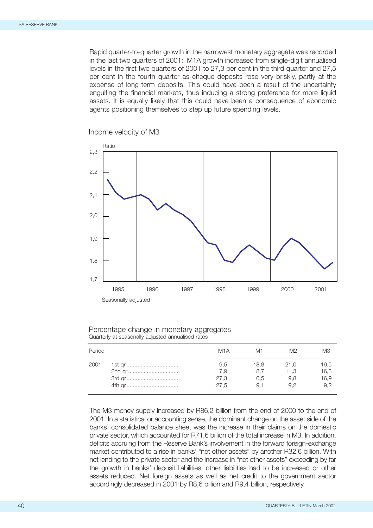Rapid quarter-to-quarter growth in the narrowest monetary aggregate was recorded in the last two quarters of 2001: M1A growth increased from single-digit annualised levels in the first two quarters of 2001 to 27,3 per cent in the third quarter and 27,5 per cent in the fourth quarter as cheque deposits rose very briskly, partly at the expense of long-term deposits. This could have been a result of the uncertainty engulfing the financial markets, thus inducing a strong preference for more liquid assets. It is equally likely that this could have been a consequence of economic agents positioning themselves to step up future spending levels.

Income velocity of M3



#### Percentage change in monetary aggregates Quarterly at seasonally adjusted annualised rates

| Period | M1A  | M1.  | M2   | MЗ   |
|--------|------|------|------|------|
| 2001:  | 9,5  | 18,8 | 21.0 | 19,5 |
|        | 7.9  | 18.7 | 11.3 | 16,3 |
|        | 27,3 | 10.5 | 9.8  | 16,9 |
|        | 27.5 | 9.1  | 9.2  | 9,2  |

The M3 money supply increased by R86,2 billion from the end of 2000 to the end of 2001. In a statistical or accounting sense, the dominant change on the asset side of the banks' consolidated balance sheet was the increase in their claims on the domestic private sector, which accounted for R71,6 billion of the total increase in M3. In addition, deficits accruing from the Reserve Bank's involvement in the forward foreign-exchange market contributed to a rise in banks' "net other assets" by another R32,6 billion. With net lending to the private sector and the increase in "net other assets" exceeding by far the growth in banks' deposit liabilities, other liabilities had to be increased or other assets reduced. Net foreign assets as well as net credit to the government sector accordingly decreased in 2001 by R8,6 billion and R9,4 billion, respectively.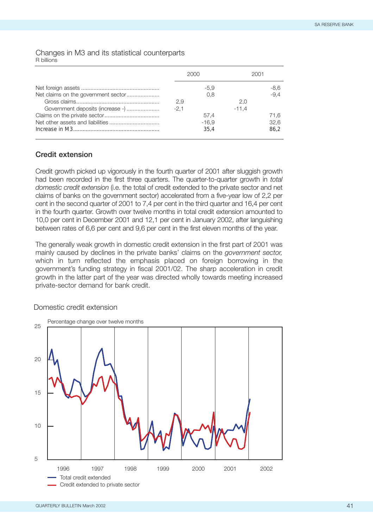#### Changes in M3 and its statistical counterparts R billions

|                                     |        | 2000    |         | 2001   |  |
|-------------------------------------|--------|---------|---------|--------|--|
|                                     |        | $-5.9$  |         | -8,6   |  |
| Net claims on the government sector |        | 0.8     |         | $-9.4$ |  |
|                                     | 2,9    |         | 2.0     |        |  |
| Government deposits (increase -)    | $-2.1$ |         | $-11.4$ |        |  |
|                                     |        | 57.4    |         | 71.6   |  |
|                                     |        | $-16.9$ |         | 32,6   |  |
|                                     |        | 35.4    |         | 86.2   |  |
|                                     |        |         |         |        |  |

# **Credit extension**

Credit growth picked up vigorously in the fourth quarter of 2001 after sluggish growth had been recorded in the first three quarters. The quarter-to-quarter growth in *total domestic credit extension* (i.e. the total of credit extended to the private sector and net claims of banks on the government sector) accelerated from a five-year low of 2,2 per cent in the second quarter of 2001 to 7,4 per cent in the third quarter and 16,4 per cent in the fourth quarter. Growth over twelve months in total credit extension amounted to 10,0 per cent in December 2001 and 12,1 per cent in January 2002, after languishing between rates of 6,6 per cent and 9,6 per cent in the first eleven months of the year.

The generally weak growth in domestic credit extension in the first part of 2001 was mainly caused by declines in the private banks' claims on the *government sector,* which in turn reflected the emphasis placed on foreign borrowing in the government's funding strategy in fiscal 2001/02. The sharp acceleration in credit growth in the latter part of the year was directed wholly towards meeting increased private-sector demand for bank credit.

## Domestic credit extension

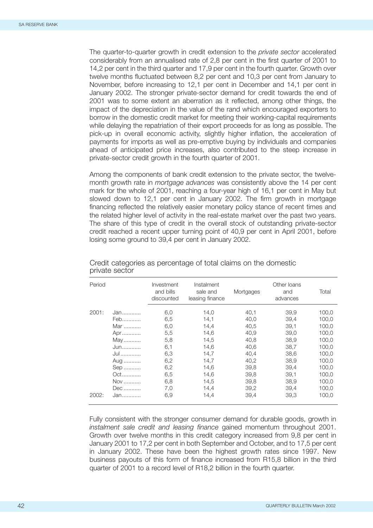The quarter-to-quarter growth in credit extension to the *private sector* accelerated considerably from an annualised rate of 2,8 per cent in the first quarter of 2001 to 14,2 per cent in the third quarter and 17,9 per cent in the fourth quarter. Growth over twelve months fluctuated between 8,2 per cent and 10,3 per cent from January to November, before increasing to 12,1 per cent in December and 14,1 per cent in January 2002. The stronger private-sector demand for credit towards the end of 2001 was to some extent an aberration as it reflected, among other things, the impact of the depreciation in the value of the rand which encouraged exporters to borrow in the domestic credit market for meeting their working-capital requirements while delaying the repatriation of their export proceeds for as long as possible. The pick-up in overall economic activity, slightly higher inflation, the acceleration of payments for imports as well as pre-emptive buying by individuals and companies ahead of anticipated price increases, also contributed to the steep increase in private-sector credit growth in the fourth quarter of 2001.

Among the components of bank credit extension to the private sector, the twelvemonth growth rate in *mortgage advances* was consistently above the 14 per cent mark for the whole of 2001, reaching a four-year high of 16,1 per cent in May but slowed down to 12,1 per cent in January 2002. The firm growth in mortgage financing reflected the relatively easier monetary policy stance of recent times and the related higher level of activity in the real-estate market over the past two years. The share of this type of credit in the overall stock of outstanding private-sector credit reached a recent upper turning point of 40,9 per cent in April 2001, before losing some ground to 39,4 per cent in January 2002.

| Period         |                                                                                         | Investment<br>and bills<br>discounted                                                   | Instalment<br>sale and<br>leasing finance                                                            | Mortgages                                                                                            | Other Ioans<br>and<br>advances                                                                       | Total                                                                                                             |
|----------------|-----------------------------------------------------------------------------------------|-----------------------------------------------------------------------------------------|------------------------------------------------------------------------------------------------------|------------------------------------------------------------------------------------------------------|------------------------------------------------------------------------------------------------------|-------------------------------------------------------------------------------------------------------------------|
| 2001:<br>2002: | Jan<br>Feb<br>Mar<br>Apr<br>May<br>Jun<br>Jul<br>Aug<br>Sep<br>Oct<br>Nov<br>Dec<br>Jan | 6,0<br>6,5<br>6,0<br>5,5<br>5,8<br>6,1<br>6,3<br>6,2<br>6,2<br>6,5<br>6,8<br>7.0<br>6,9 | 14,0<br>14,1<br>14,4<br>14,6<br>14,5<br>14,6<br>14,7<br>14,7<br>14,6<br>14,6<br>14.5<br>14.4<br>14,4 | 40,1<br>40.0<br>40.5<br>40.9<br>40.8<br>40.6<br>40,4<br>40.2<br>39.8<br>39,8<br>39,8<br>39,2<br>39,4 | 39,9<br>39.4<br>39.1<br>39.0<br>38.9<br>38.7<br>38,6<br>38.9<br>39.4<br>39.1<br>38.9<br>39.4<br>39,3 | 100,0<br>100,0<br>100,0<br>100,0<br>100,0<br>100,0<br>100,0<br>100,0<br>100,0<br>100,0<br>100,0<br>100,0<br>100.0 |

Credit categories as percentage of total claims on the domestic private sector

Fully consistent with the stronger consumer demand for durable goods, growth in *instalment sale credit and leasing finance* gained momentum throughout 2001. Growth over twelve months in this credit category increased from 9,8 per cent in January 2001 to 17,2 per cent in both September and October, and to 17,5 per cent in January 2002. These have been the highest growth rates since 1997. New business payouts of this form of finance increased from R15,8 billion in the third quarter of 2001 to a record level of R18,2 billion in the fourth quarter.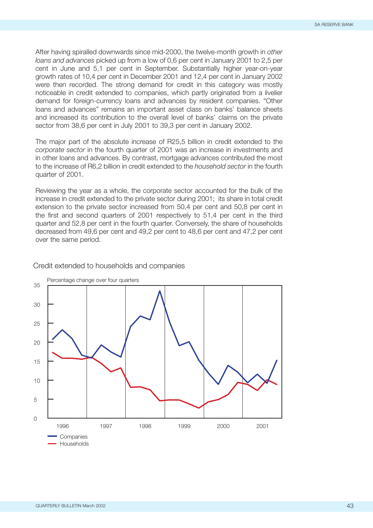After having spiralled downwards since mid-2000, the twelve-month growth in *other loans and advances* picked up from a low of 0,6 per cent in January 2001 to 2,5 per cent in June and 5,1 per cent in September. Substantially higher year-on-year growth rates of 10,4 per cent in December 2001 and 12,4 per cent in January 2002 were then recorded. The strong demand for credit in this category was mostly noticeable in credit extended to companies, which partly originated from a livelier demand for foreign-currency loans and advances by resident companies. "Other loans and advances" remains an important asset class on banks' balance sheets and increased its contribution to the overall level of banks' claims on the private sector from 38,6 per cent in July 2001 to 39,3 per cent in January 2002.

The major part of the absolute increase of R25,5 billion in credit extended to the *corporate sector* in the fourth quarter of 2001 was an increase in investments and in other loans and advances. By contrast, mortgage advances contributed the most to the increase of R6,2 billion in credit extended to the *household sector* in the fourth quarter of 2001.

Reviewing the year as a whole, the corporate sector accounted for the bulk of the increase in credit extended to the private sector during 2001; its share in total credit extension to the private sector increased from 50,4 per cent and 50,8 per cent in the first and second quarters of 2001 respectively to 51,4 per cent in the third quarter and 52,8 per cent in the fourth quarter. Conversely, the share of households decreased from 49,6 per cent and 49,2 per cent to 48,6 per cent and 47,2 per cent over the same period.

# Credit extended to households and companies

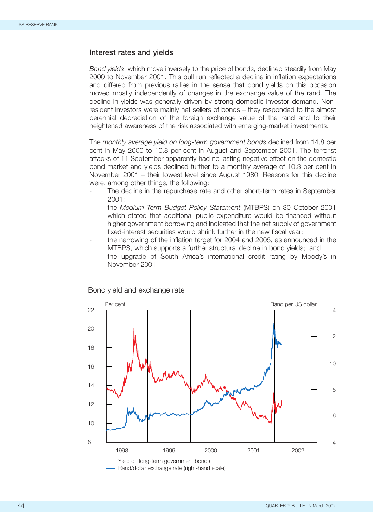## **Interest rates and yields**

*Bond yields*, which move inversely to the price of bonds, declined steadily from May 2000 to November 2001. This bull run reflected a decline in inflation expectations and differed from previous rallies in the sense that bond yields on this occasion moved mostly independently of changes in the exchange value of the rand. The decline in yields was generally driven by strong domestic investor demand. Nonresident investors were mainly net sellers of bonds – they responded to the almost perennial depreciation of the foreign exchange value of the rand and to their heightened awareness of the risk associated with emerging-market investments.

The *monthly average yield on long-term government bonds* declined from 14,8 per cent in May 2000 to 10,8 per cent in August and September 2001. The terrorist attacks of 11 September apparently had no lasting negative effect on the domestic bond market and yields declined further to a monthly average of 10,3 per cent in November 2001 – their lowest level since August 1980. Reasons for this decline were, among other things, the following:

- The decline in the repurchase rate and other short-term rates in September 2001;
- the *Medium Term Budget Policy Statement* (MTBPS) on 30 October 2001 which stated that additional public expenditure would be financed without higher government borrowing and indicated that the net supply of government fixed-interest securities would shrink further in the new fiscal year;
- the narrowing of the inflation target for 2004 and 2005, as announced in the MTBPS, which supports a further structural decline in bond yields; and
- the upgrade of South Africa's international credit rating by Moody's in November 2001.



#### Bond yield and exchange rate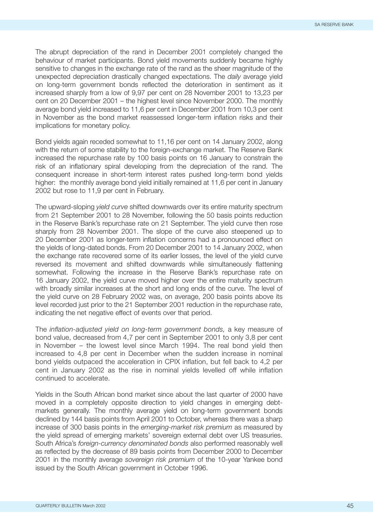The abrupt depreciation of the rand in December 2001 completely changed the behaviour of market participants. Bond yield movements suddenly became highly sensitive to changes in the exchange rate of the rand as the sheer magnitude of the unexpected depreciation drastically changed expectations. The *daily* average yield on long-term government bonds reflected the deterioration in sentiment as it increased sharply from a low of 9,97 per cent on 28 November 2001 to 13,23 per cent on 20 December 2001 – the highest level since November 2000. The monthly average bond yield increased to 11,6 per cent in December 2001 from 10,3 per cent in November as the bond market reassessed longer-term inflation risks and their implications for monetary policy.

Bond yields again receded somewhat to 11,16 per cent on 14 January 2002, along with the return of some stability to the foreign-exchange market. The Reserve Bank increased the repurchase rate by 100 basis points on 16 January to constrain the risk of an inflationary spiral developing from the depreciation of the rand. The consequent increase in short-term interest rates pushed long-term bond yields higher: the monthly average bond yield initially remained at 11,6 per cent in January 2002 but rose to 11,9 per cent in February.

The upward-sloping *yield curve* shifted downwards over its entire maturity spectrum from 21 September 2001 to 28 November, following the 50 basis points reduction in the Reserve Bank's repurchase rate on 21 September. The yield curve then rose sharply from 28 November 2001. The slope of the curve also steepened up to 20 December 2001 as longer-term inflation concerns had a pronounced effect on the yields of long-dated bonds. From 20 December 2001 to 14 January 2002, when the exchange rate recovered some of its earlier losses, the level of the yield curve reversed its movement and shifted downwards while simultaneously flattening somewhat. Following the increase in the Reserve Bank's repurchase rate on 16 January 2002, the yield curve moved higher over the entire maturity spectrum with broadly similar increases at the short and long ends of the curve. The level of the yield curve on 28 February 2002 was, on average, 200 basis points above its level recorded just prior to the 21 September 2001 reduction in the repurchase rate, indicating the net negative effect of events over that period.

The *inflation-adjusted yield on long-term government bonds,* a key measure of bond value, decreased from 4,7 per cent in September 2001 to only 3,8 per cent in November – the lowest level since March 1994. The real bond yield then increased to 4,8 per cent in December when the sudden increase in nominal bond yields outpaced the acceleration in CPIX inflation, but fell back to 4,2 per cent in January 2002 as the rise in nominal yields levelled off while inflation continued to accelerate.

Yields in the South African bond market since about the last quarter of 2000 have moved in a completely opposite direction to yield changes in emerging debtmarkets generally. The monthly average yield on long-term government bonds declined by 144 basis points from April 2001 to October, whereas there was a sharp increase of 300 basis points in the *emerging-market risk premium* as measured by the yield spread of emerging markets' sovereign external debt over US treasuries. South Africa's *foreign-currency denominated bonds* also performed reasonably well as reflected by the decrease of 89 basis points from December 2000 to December 2001 in the monthly average *sovereign risk premium* of the 10-year Yankee bond issued by the South African government in October 1996.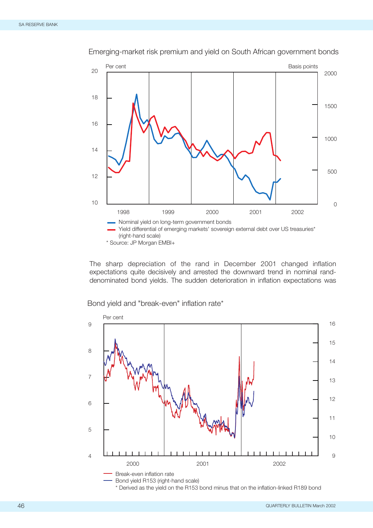

Emerging-market risk premium and yield on South African government bonds

The sharp depreciation of the rand in December 2001 changed inflation expectations quite decisively and arrested the downward trend in nominal randdenominated bond yields. The sudden deterioration in inflation expectations was

Per cent Break-even inflation rate Bond yield R153 (right-hand scale) 4 5 6 7 8 9 9 10 11 12 13 14 15 16 2000 2001 2002

Bond yield and "break-even" inflation rate\*

\* Derived as the yield on the R153 bond minus that on the inflation-linked R189 bond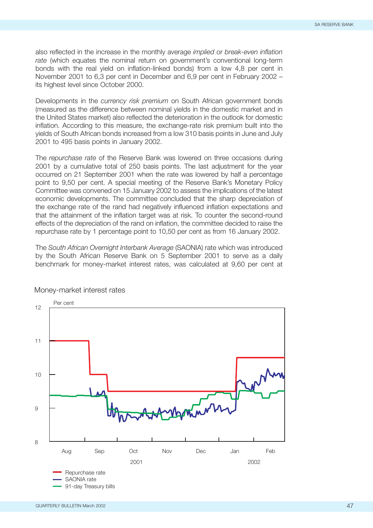also reflected in the increase in the monthly average *implied* or *break-even inflation rate* (which equates the nominal return on government's conventional long-term bonds with the real yield on inflation-linked bonds) from a low 4,8 per cent in November 2001 to 6,3 per cent in December and 6,9 per cent in February 2002 – its highest level since October 2000.

Developments in the *currency risk premium* on South African government bonds (measured as the difference between nominal yields in the domestic market and in the United States market) also reflected the deterioration in the outlook for domestic inflation. According to this measure, the exchange-rate risk premium built into the yields of South African bonds increased from a low 310 basis points in June and July 2001 to 495 basis points in January 2002.

The *repurchase rate* of the Reserve Bank was lowered on three occasions during 2001 by a cumulative total of 250 basis points. The last adjustment for the year occurred on 21 September 2001 when the rate was lowered by half a percentage point to 9,50 per cent. A special meeting of the Reserve Bank's Monetary Policy Committee was convened on 15 January 2002 to assess the implications of the latest economic developments. The committee concluded that the sharp depreciation of the exchange rate of the rand had negatively influenced inflation expectations and that the attainment of the inflation target was at risk. To counter the second-round effects of the depreciation of the rand on inflation, the committee decided to raise the repurchase rate by 1 percentage point to 10,50 per cent as from 16 January 2002.

The *South African Overnight Interbank Average* (SAONIA) rate which was introduced by the South African Reserve Bank on 5 September 2001 to serve as a daily benchmark for money-market interest rates, was calculated at 9,60 per cent at



#### Money-market interest rates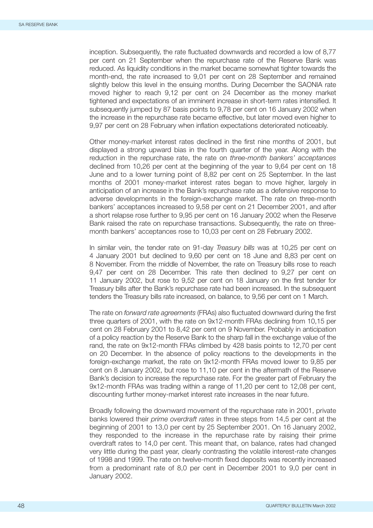inception. Subsequently, the rate fluctuated downwards and recorded a low of 8,77 per cent on 21 September when the repurchase rate of the Reserve Bank was reduced. As liquidity conditions in the market became somewhat tighter towards the month-end, the rate increased to 9,01 per cent on 28 September and remained slightly below this level in the ensuing months. During December the SAONIA rate moved higher to reach 9,12 per cent on 24 December as the money market tightened and expectations of an imminent increase in short-term rates intensified. It subsequently jumped by 87 basis points to 9,78 per cent on 16 January 2002 when the increase in the repurchase rate became effective, but later moved even higher to 9,97 per cent on 28 February when inflation expectations deteriorated noticeably.

Other money-market interest rates declined in the first nine months of 2001, but displayed a strong upward bias in the fourth quarter of the year. Along with the reduction in the repurchase rate, the rate on *three-month bankers' acceptances* declined from 10,26 per cent at the beginning of the year to 9,64 per cent on 18 June and to a lower turning point of 8,82 per cent on 25 September. In the last months of 2001 money-market interest rates began to move higher, largely in anticipation of an increase in the Bank's repurchase rate as a defensive response to adverse developments in the foreign-exchange market. The rate on three-month bankers' acceptances increased to 9,58 per cent on 21 December 2001, and after a short relapse rose further to 9,95 per cent on 16 January 2002 when the Reserve Bank raised the rate on repurchase transactions. Subsequently, the rate on threemonth bankers' acceptances rose to 10,03 per cent on 28 February 2002.

In similar vein, the tender rate on 91-day *Treasury bills* was at 10,25 per cent on 4 January 2001 but declined to 9,60 per cent on 18 June and 8,83 per cent on 8 November. From the middle of November, the rate on Treasury bills rose to reach 9,47 per cent on 28 December. This rate then declined to 9,27 per cent on 11 January 2002, but rose to 9,52 per cent on 18 January on the first tender for Treasury bills after the Bank's repurchase rate had been increased. In the subsequent tenders the Treasury bills rate increased, on balance, to 9,56 per cent on 1 March.

The rate on *forward rate agreements* (FRAs) also fluctuated downward during the first three quarters of 2001, with the rate on 9x12-month FRAs declining from 10,15 per cent on 28 February 2001 to 8,42 per cent on 9 November. Probably in anticipation of a policy reaction by the Reserve Bank to the sharp fall in the exchange value of the rand, the rate on 9x12-month FRAs climbed by 428 basis points to 12,70 per cent on 20 December. In the absence of policy reactions to the developments in the foreign-exchange market, the rate on 9x12-month FRAs moved lower to 9,85 per cent on 8 January 2002, but rose to 11,10 per cent in the aftermath of the Reserve Bank's decision to increase the repurchase rate. For the greater part of February the 9x12-month FRAs was trading within a range of 11,20 per cent to 12,08 per cent, discounting further money-market interest rate increases in the near future.

Broadly following the downward movement of the repurchase rate in 2001, private banks lowered their *prime overdraft rates* in three steps from 14,5 per cent at the beginning of 2001 to 13,0 per cent by 25 September 2001. On 16 January 2002, they responded to the increase in the repurchase rate by raising their prime overdraft rates to 14,0 per cent. This meant that, on balance, rates had changed very little during the past year, clearly contrasting the volatile interest-rate changes of 1998 and 1999. The rate on twelve-month fixed deposits was recently increased from a predominant rate of 8,0 per cent in December 2001 to 9,0 per cent in January 2002.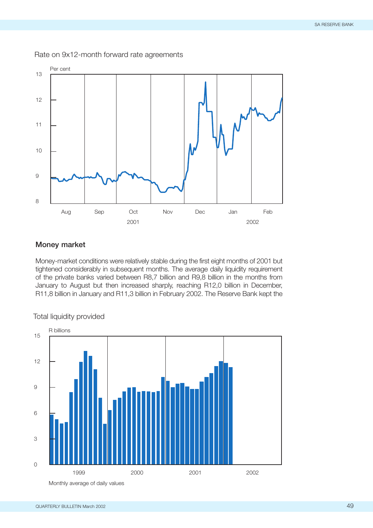

Rate on 9x12-month forward rate agreements

# **Money market**

Money-market conditions were relatively stable during the first eight months of 2001 but tightened considerably in subsequent months. The average daily liquidity requirement of the private banks varied between R8,7 billion and R9,8 billion in the months from January to August but then increased sharply, reaching R12,0 billion in December, R11,8 billion in January and R11,3 billion in February 2002. The Reserve Bank kept the

#### Total liquidity provided



Monthly average of daily values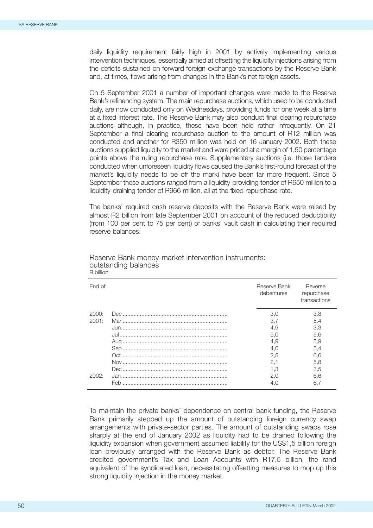daily liquidity requirement fairly high in 2001 by actively implementing various intervention techniques, essentially aimed at offsetting the liquidity injections arising from the deficits sustained on forward foreign-exchange transactions by the Reserve Bank and, at times, flows arising from changes in the Bank's net foreign assets.

On 5 September 2001 a number of important changes were made to the Reserve Bank's refinancing system. The main repurchase auctions, which used to be conducted daily, are now conducted only on Wednesdays, providing funds for one week at a time at a fixed interest rate. The Reserve Bank may also conduct final clearing repurchase auctions although, in practice, these have been held rather infrequently. On 21 September a final clearing repurchase auction to the amount of R12 million was conducted and another for R350 million was held on 16 January 2002. Both these auctions supplied liquidity to the market and were priced at a margin of 1,50 percentage points above the ruling repurchase rate. Supplementary auctions (i.e. those tenders conducted when unforeseen liquidity flows caused the Bank's first-round forecast of the market's liquidity needs to be off the mark) have been far more frequent. Since 5 September these auctions ranged from a liquidity-providing tender of R650 million to a liquidity-draining tender of R966 million, all at the fixed repurchase rate.

The banks' required cash reserve deposits with the Reserve Bank were raised by almost R2 billion from late September 2001 on account of the reduced deductibility (from 100 per cent to 75 per cent) of banks' vault cash in calculating their required reserve balances.

| End of |     | Reserve Bank<br>debentures | Reverse<br>repurchase<br>transactions |
|--------|-----|----------------------------|---------------------------------------|
| 2000:  |     | 3.0                        | 3,8                                   |
| 2001:  |     | 3.7                        | 5.4                                   |
|        |     | 4.9                        | 3,3                                   |
|        |     | 5.0                        | 5.6                                   |
|        |     | 4.9                        | 5.9                                   |
|        |     | 4.0                        | 5.4                                   |
|        |     | 2.5                        | 6.6                                   |
|        |     | 2,1                        | 5.8                                   |
|        |     | 1.3                        | 3.5                                   |
| 2002:  |     | 2.0                        | 6.6                                   |
|        | Feb | 4.0                        | 6,7                                   |

#### Reserve Bank money-market intervention instruments: outstanding balances R billion

To maintain the private banks' dependence on central bank funding, the Reserve Bank primarily stepped up the amount of outstanding foreign currency swap arrangements with private-sector parties. The amount of outstanding swaps rose sharply at the end of January 2002 as liquidity had to be drained following the liquidity expansion when government assumed liability for the US\$1,5 billion foreign loan previously arranged with the Reserve Bank as debtor. The Reserve Bank credited government's Tax and Loan Accounts with R17,5 billion, the rand equivalent of the syndicated loan, necessitating offsetting measures to mop up this strong liquidity injection in the money market.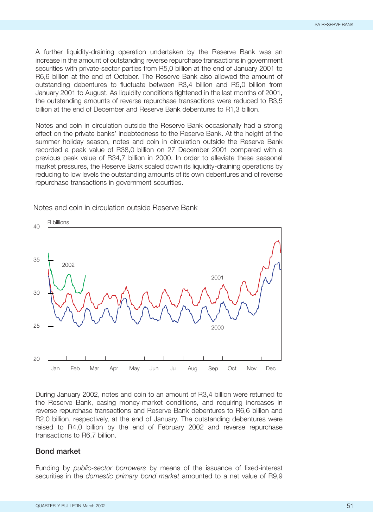A further liquidity-draining operation undertaken by the Reserve Bank was an increase in the amount of outstanding reverse repurchase transactions in government securities with private-sector parties from R5,0 billion at the end of January 2001 to R6,6 billion at the end of October. The Reserve Bank also allowed the amount of outstanding debentures to fluctuate between R3,4 billion and R5,0 billion from January 2001 to August. As liquidity conditions tightened in the last months of 2001, the outstanding amounts of reverse repurchase transactions were reduced to R3,5 billion at the end of December and Reserve Bank debentures to R1,3 billion.

Notes and coin in circulation outside the Reserve Bank occasionally had a strong effect on the private banks' indebtedness to the Reserve Bank. At the height of the summer holiday season, notes and coin in circulation outside the Reserve Bank recorded a peak value of R38,0 billion on 27 December 2001 compared with a previous peak value of R34,7 billion in 2000. In order to alleviate these seasonal market pressures, the Reserve Bank scaled down its liquidity-draining operations by reducing to low levels the outstanding amounts of its own debentures and of reverse repurchase transactions in government securities.



Notes and coin in circulation outside Reserve Bank

During January 2002, notes and coin to an amount of R3,4 billion were returned to the Reserve Bank, easing money-market conditions, and requiring increases in reverse repurchase transactions and Reserve Bank debentures to R6,6 billion and R2,0 billion, respectively, at the end of January. The outstanding debentures were raised to R4,0 billion by the end of February 2002 and reverse repurchase transactions to R6,7 billion.

## **Bond market**

Funding by *public-sector borrowers* by means of the issuance of fixed-interest securities in the *domestic primary bond market* amounted to a net value of R9,9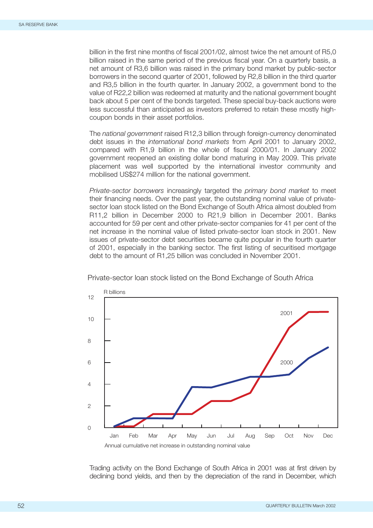billion in the first nine months of fiscal 2001/02, almost twice the net amount of R5,0 billion raised in the same period of the previous fiscal year. On a quarterly basis, a net amount of R3,6 billion was raised in the primary bond market by public-sector borrowers in the second quarter of 2001, followed by R2,8 billion in the third quarter and R3,5 billion in the fourth quarter. In January 2002, a government bond to the value of R22,2 billion was redeemed at maturity and the national government bought back about 5 per cent of the bonds targeted. These special buy-back auctions were less successful than anticipated as investors preferred to retain these mostly highcoupon bonds in their asset portfolios.

The *national government* raised R12,3 billion through foreign-currency denominated debt issues in the *international bond markets* from April 2001 to January 2002, compared with R1,9 billion in the whole of fiscal 2000/01. In January 2002 government reopened an existing dollar bond maturing in May 2009. This private placement was well supported by the international investor community and mobilised US\$274 million for the national government.

*Private-sector borrowers* increasingly targeted the *primary bond market* to meet their financing needs. Over the past year, the outstanding nominal value of privatesector loan stock listed on the Bond Exchange of South Africa almost doubled from R11,2 billion in December 2000 to R21,9 billion in December 2001. Banks accounted for 59 per cent and other private-sector companies for 41 per cent of the net increase in the nominal value of listed private-sector loan stock in 2001. New issues of private-sector debt securities became quite popular in the fourth quarter of 2001, especially in the banking sector. The first listing of securitised mortgage debt to the amount of R1,25 billion was concluded in November 2001.



Private-sector loan stock listed on the Bond Exchange of South Africa

Trading activity on the Bond Exchange of South Africa in 2001 was at first driven by declining bond yields, and then by the depreciation of the rand in December, which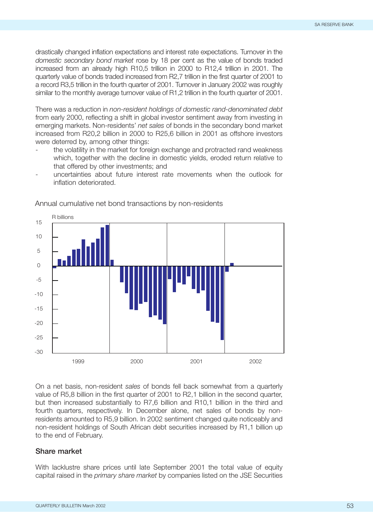drastically changed inflation expectations and interest rate expectations. Turnover in the *domestic secondary bond market* rose by 18 per cent as the value of bonds traded increased from an already high R10,5 trillion in 2000 to R12,4 trillion in 2001. The quarterly value of bonds traded increased from R2,7 trillion in the first quarter of 2001 to a record R3,5 trillion in the fourth quarter of 2001. Turnover in January 2002 was roughly similar to the monthly average turnover value of R1,2 trillion in the fourth quarter of 2001.

There was a reduction in *non-resident holdings of domestic rand-denominated debt* from early 2000, reflecting a shift in global investor sentiment away from investing in emerging markets. Non-residents' *net sales* of bonds in the secondary bond market increased from R20,2 billion in 2000 to R25,6 billion in 2001 as offshore investors were deterred by, among other things:

- the volatility in the market for foreign exchange and protracted rand weakness which, together with the decline in domestic yields, eroded return relative to that offered by other investments; and
- uncertainties about future interest rate movements when the outlook for inflation deteriorated.



Annual cumulative net bond transactions by non-residents

On a net basis, non-resident *sales* of bonds fell back somewhat from a quarterly value of R5,8 billion in the first quarter of 2001 to R2,1 billion in the second quarter, but then increased substantially to R7,6 billion and R10,1 billion in the third and fourth quarters, respectively. In December alone, net sales of bonds by nonresidents amounted to R5,9 billion. In 2002 sentiment changed quite noticeably and non-resident holdings of South African debt securities increased by R1,1 billion up to the end of February.

# **Share market**

With lacklustre share prices until late September 2001 the total value of equity capital raised in the *primary share market* by companies listed on the JSE Securities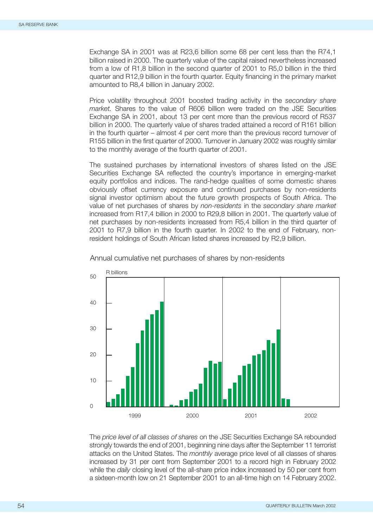Exchange SA in 2001 was at R23,6 billion some 68 per cent less than the R74,1 billion raised in 2000. The quarterly value of the capital raised nevertheless increased from a low of R1,8 billion in the second quarter of 2001 to R5,0 billion in the third quarter and R12,9 billion in the fourth quarter. Equity financing in the primary market amounted to R8,4 billion in January 2002.

Price volatility throughout 2001 boosted trading activity in the *secondary share market.* Shares to the value of R606 billion were traded on the JSE Securities Exchange SA in 2001, about 13 per cent more than the previous record of R537 billion in 2000. The quarterly value of shares traded attained a record of R161 billion in the fourth quarter – almost 4 per cent more than the previous record turnover of R155 billion in the first quarter of 2000. Turnover in January 2002 was roughly similar to the monthly average of the fourth quarter of 2001.

The sustained purchases by international investors of shares listed on the JSE Securities Exchange SA reflected the country's importance in emerging-market equity portfolios and indices. The rand-hedge qualities of some domestic shares obviously offset currency exposure and continued purchases by non-residents signal investor optimism about the future growth prospects of South Africa. The value of net purchases of shares by *non-residents* in the *secondary share market* increased from R17,4 billion in 2000 to R29,8 billion in 2001. The quarterly value of net purchases by non-residents increased from R5,4 billion in the third quarter of 2001 to R7,9 billion in the fourth quarter. In 2002 to the end of February, nonresident holdings of South African listed shares increased by R2,9 billion.



Annual cumulative net purchases of shares by non-residents

The *price level of all classes of shares* on the JSE Securities Exchange SA rebounded strongly towards the end of 2001, beginning nine days after the September 11 terrorist attacks on the United States. The *monthly* average price level of all classes of shares increased by 31 per cent from September 2001 to a record high in February 2002 while the *daily* closing level of the all-share price index increased by 50 per cent from a sixteen-month low on 21 September 2001 to an all-time high on 14 February 2002.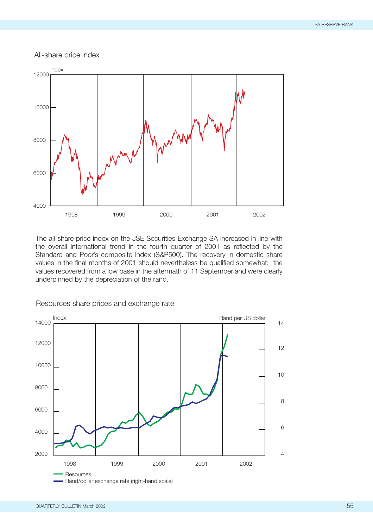All-share price index



The all-share price index on the JSE Securities Exchange SA increased in line with the overall international trend in the fourth quarter of 2001 as reflected by the Standard and Poor's composite index (S&P500). The recovery in domestic share values in the final months of 2001 should nevertheless be qualified somewhat; the values recovered from a low base in the aftermath of 11 September and were clearly underpinned by the depreciation of the rand.



Resources share prices and exchange rate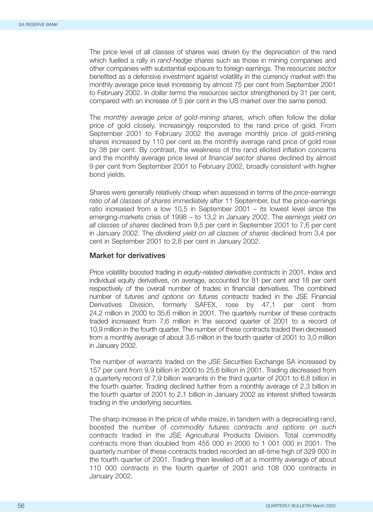The price level of all classes of shares was driven by the depreciation of the rand which fuelled a rally in *rand-hedge shares* such as those in mining companies and other companies with substantial exposure to foreign earnings. The *resources sector* benefited as a defensive investment against volatility in the currency market with the monthly average price level increasing by almost 75 per cent from September 2001 to February 2002. In *dollar terms* the resources sector strengthened by 31 per cent, compared with an increase of 5 per cent in the US market over the same period.

The *monthly average price of gold-mining shares,* which often follow the dollar price of gold closely, increasingly responded to the rand price of gold. From September 2001 to February 2002 the average monthly price of gold-mining shares increased by 110 per cent as the monthly average rand price of gold rose by 38 per cent. By contrast, the weakness of the rand elicited inflation concerns and the monthly average price level of *financial sector* shares declined by almost 9 per cent from September 2001 to February 2002, broadly consistent with higher bond yields.

Shares were generally relatively cheap when assessed in terms of the *price-earnings ratio of all classes of shares* immediately after 11 September, but the price-earnings ratio increased from a low 10,5 in September 2001 – its lowest level since the emerging-markets crisis of 1998 – to 13,2 in January 2002. The *earnings yield on all classes of shares* declined from 9,5 per cent in September 2001 to 7,6 per cent in January 2002. The *dividend yield on all classes of shares* declined from 3,4 per cent in September 2001 to 2,8 per cent in January 2002.

## **Market for derivatives**

Price volatility boosted trading in *equity-related derivative contracts* in 2001. Index and individual equity derivatives, on average, accounted for 81 per cent and 18 per cent respectively of the overall number of trades in financial derivatives. The combined number of *futures and options on futures contracts* traded in the JSE Financial Derivatives Division, formerly SAFEX, rose by 47,1 per cent from 24,2 million in 2000 to 35,6 million in 2001. The quarterly number of these contracts traded increased from 7,6 million in the second quarter of 2001 to a record of 10,9 million in the fourth quarter. The number of these contracts traded then decreased from a monthly average of about 3,6 million in the fourth quarter of 2001 to 3,0 million in January 2002.

The number of *warrants* traded on the JSE Securities Exchange SA increased by 157 per cent from 9,9 billion in 2000 to 25,6 billion in 2001. Trading decreased from a quarterly record of 7,9 billion warrants in the third quarter of 2001 to 6,8 billion in the fourth quarter. Trading declined further from a monthly average of 2,3 billion in the fourth quarter of 2001 to 2,1 billion in January 2002 as interest shifted towards trading in the underlying securities.

The sharp increase in the price of white maize, in tandem with a depreciating rand, boosted the number of *commodity futures contracts and options on such contracts* traded in the JSE Agricultural Products Division. Total commodity contracts more than doubled from 455 000 in 2000 to 1 001 000 in 2001. The quarterly number of these contracts traded recorded an all-time high of 329 000 in the fourth quarter of 2001. Trading then levelled off at a monthly average of about 110 000 contracts in the fourth quarter of 2001 and 108 000 contracts in January 2002.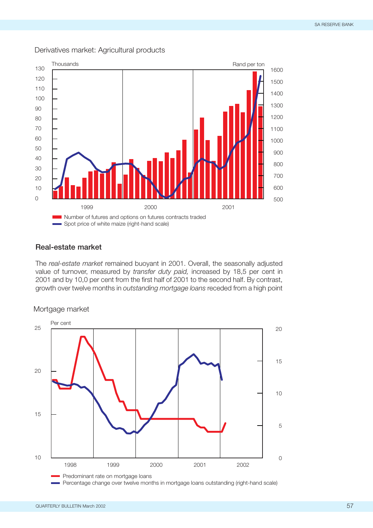

## Derivatives market: Agricultural products

# **Real-estate market**

The *real-estate market* remained buoyant in 2001. Overall, the seasonally adjusted value of turnover, measured by *transfer duty paid,* increased by 18,5 per cent in 2001 and by 10,0 per cent from the first half of 2001 to the second half. By contrast, growth over twelve months in *outstanding mortgage loans* receded from a high point

Mortgage market



Percentage change over twelve months in mortgage loans outstanding (right-hand scale)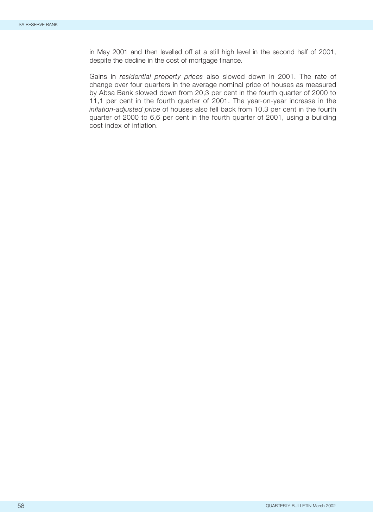in May 2001 and then levelled off at a still high level in the second half of 2001, despite the decline in the cost of mortgage finance.

Gains in *residential property prices* also slowed down in 2001. The rate of change over four quarters in the average nominal price of houses as measured by Absa Bank slowed down from 20,3 per cent in the fourth quarter of 2000 to 11,1 per cent in the fourth quarter of 2001. The year-on-year increase in the *inflation-adjusted price* of houses also fell back from 10,3 per cent in the fourth quarter of 2000 to 6,6 per cent in the fourth quarter of 2001, using a building cost index of inflation.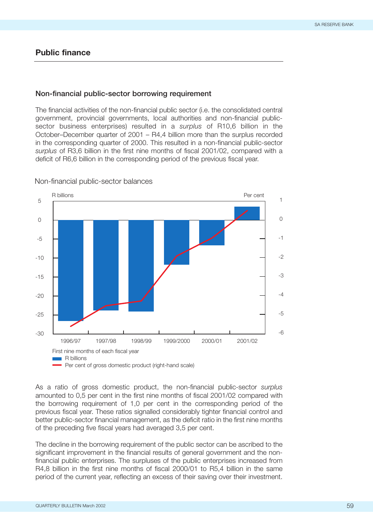# **Public finance**

#### **Non-financial public-sector borrowing requirement**

The financial activities of the non-financial public sector (i.e. the consolidated central government, provincial governments, local authorities and non-financial publicsector business enterprises) resulted in a *surplus* of R10,6 billion in the October–December quarter of 2001 – R4,4 billion more than the surplus recorded in the corresponding quarter of 2000. This resulted in a non-financial public-sector *surplus* of R3,6 billion in the first nine months of fiscal 2001/02, compared with a deficit of R6,6 billion in the corresponding period of the previous fiscal year.



Non-financial public-sector balances

As a ratio of gross domestic product, the non-financial public-sector *surplus* amounted to 0,5 per cent in the first nine months of fiscal 2001/02 compared with the borrowing requirement of 1,0 per cent in the corresponding period of the previous fiscal year. These ratios signalled considerably tighter financial control and better public-sector financial management, as the deficit ratio in the first nine months of the preceding five fiscal years had averaged 3,5 per cent.

The decline in the borrowing requirement of the public sector can be ascribed to the significant improvement in the financial results of general government and the nonfinancial public enterprises. The surpluses of the public enterprises increased from R4,8 billion in the first nine months of fiscal 2000/01 to R5,4 billion in the same period of the current year, reflecting an excess of their saving over their investment.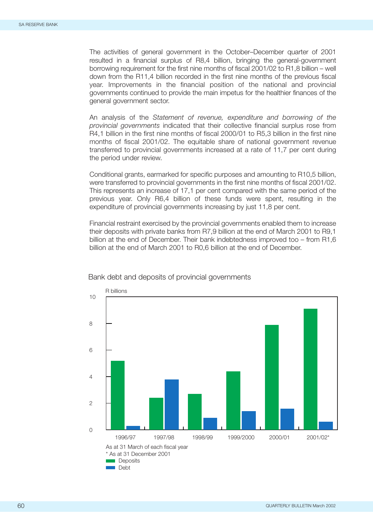The activities of general government in the October–December quarter of 2001 resulted in a financial surplus of R8,4 billion, bringing the general-government borrowing requirement for the first nine months of fiscal 2001/02 to R1,8 billion – well down from the R11,4 billion recorded in the first nine months of the previous fiscal year. Improvements in the financial position of the national and provincial governments continued to provide the main impetus for the healthier finances of the general government sector.

An analysis of the *Statement of revenue, expenditure and borrowing of the provincial governments* indicated that their collective financial surplus rose from R4,1 billion in the first nine months of fiscal 2000/01 to R5,3 billion in the first nine months of fiscal 2001/02. The equitable share of national government revenue transferred to provincial governments increased at a rate of 11,7 per cent during the period under review.

Conditional grants, earmarked for specific purposes and amounting to R10,5 billion, were transferred to provincial governments in the first nine months of fiscal 2001/02. This represents an increase of 17,1 per cent compared with the same period of the previous year. Only R6,4 billion of these funds were spent, resulting in the expenditure of provincial governments increasing by just 11,8 per cent.

Financial restraint exercised by the provincial governments enabled them to increase their deposits with private banks from R7,9 billion at the end of March 2001 to R9,1 billion at the end of December. Their bank indebtedness improved too – from R1,6 billion at the end of March 2001 to R0,6 billion at the end of December.



## Bank debt and deposits of provincial governments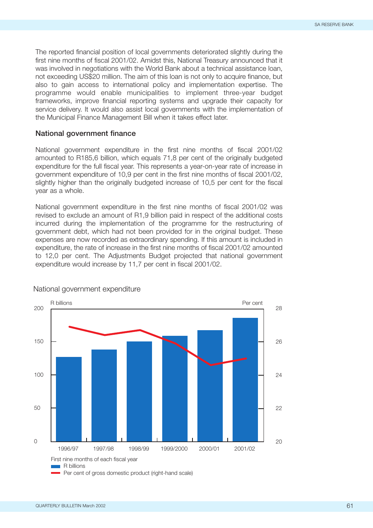The reported financial position of local governments deteriorated slightly during the first nine months of fiscal 2001/02. Amidst this, National Treasury announced that it was involved in negotiations with the World Bank about a technical assistance loan, not exceeding US\$20 million. The aim of this loan is not only to acquire finance, but also to gain access to international policy and implementation expertise. The programme would enable municipalities to implement three-year budget frameworks, improve financial reporting systems and upgrade their capacity for service delivery. It would also assist local governments with the implementation of the Municipal Finance Management Bill when it takes effect later.

## **National government finance**

National government expenditure in the first nine months of fiscal 2001/02 amounted to R185,6 billion, which equals 71,8 per cent of the originally budgeted expenditure for the full fiscal year. This represents a year-on-year rate of increase in government expenditure of 10,9 per cent in the first nine months of fiscal 2001/02, slightly higher than the originally budgeted increase of 10,5 per cent for the fiscal year as a whole.

National government expenditure in the first nine months of fiscal 2001/02 was revised to exclude an amount of R1,9 billion paid in respect of the additional costs incurred during the implementation of the programme for the restructuring of government debt, which had not been provided for in the original budget. These expenses are now recorded as extraordinary spending. If this amount is included in expenditure, the rate of increase in the first nine months of fiscal 2001/02 amounted to 12,0 per cent. The Adjustments Budget projected that national government expenditure would increase by 11,7 per cent in fiscal 2001/02.



#### National government expenditure

Per cent of gross domestic product (right-hand scale)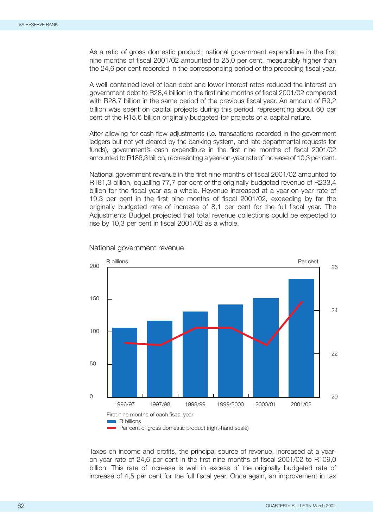As a ratio of gross domestic product, national government expenditure in the first nine months of fiscal 2001/02 amounted to 25,0 per cent, measurably higher than the 24,6 per cent recorded in the corresponding period of the preceding fiscal year.

A well-contained level of loan debt and lower interest rates reduced the interest on government debt to R28,4 billion in the first nine months of fiscal 2001/02 compared with R28,7 billion in the same period of the previous fiscal year. An amount of R9,2 billion was spent on capital projects during this period, representing about 60 per cent of the R15,6 billion originally budgeted for projects of a capital nature.

After allowing for cash-flow adjustments (i.e. transactions recorded in the government ledgers but not yet cleared by the banking system, and late departmental requests for funds), government's cash expenditure in the first nine months of fiscal 2001/02 amounted to R186,3 billion, representing a year-on-year rate of increase of 10,3 per cent.

National government revenue in the first nine months of fiscal 2001/02 amounted to R181,3 billion, equalling 77,7 per cent of the originally budgeted revenue of R233,4 billion for the fiscal year as a whole. Revenue increased at a year-on-year rate of 19,3 per cent in the first nine months of fiscal 2001/02, exceeding by far the originally budgeted rate of increase of 8,1 per cent for the full fiscal year. The Adjustments Budget projected that total revenue collections could be expected to rise by 10,3 per cent in fiscal 2001/02 as a whole.



National government revenue

Taxes on income and profits, the principal source of revenue, increased at a yearon-year rate of 24,6 per cent in the first nine months of fiscal 2001/02 to R109,0 billion. This rate of increase is well in excess of the originally budgeted rate of increase of 4,5 per cent for the full fiscal year. Once again, an improvement in tax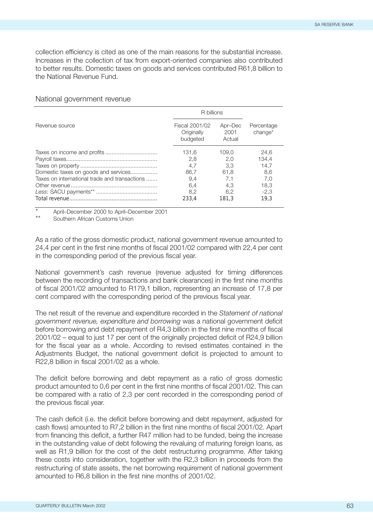collection efficiency is cited as one of the main reasons for the substantial increase. Increases in the collection of tax from export-oriented companies also contributed to better results. Domestic taxes on goods and services contributed R61,8 billion to the National Revenue Fund.

|                                               | R billions                               |                           |                                   |  |
|-----------------------------------------------|------------------------------------------|---------------------------|-----------------------------------|--|
| Revenue source                                | Fiscal 2001/02<br>Originally<br>budgeted | Apr-Dec<br>2001<br>Actual | Percentage<br>change <sup>*</sup> |  |
| Taxes on income and profits                   | 131.6                                    | 109.0                     | 24.6                              |  |
|                                               | 2.8                                      | 2.0                       | 134.4                             |  |
|                                               | 4.7                                      | 3.3                       | 14.7                              |  |
| Domestic taxes on goods and services          | 86.7                                     | 61.8                      | 8,6                               |  |
| Taxes on international trade and transactions | 9.4                                      | 7.1                       | 7,0                               |  |
|                                               | 6.4                                      | 4.3                       | 18.3                              |  |
|                                               | 8.2                                      | 6.2                       | $-2,3$                            |  |
|                                               | 233.4                                    | 181.3                     | 19.3                              |  |

### National government revenue

April–December 2000 to April–December 2001

Southern African Customs Union

As a ratio of the gross domestic product, national government revenue amounted to 24,4 per cent in the first nine months of fiscal 2001/02 compared with 22,4 per cent in the corresponding period of the previous fiscal year.

National government's cash revenue (revenue adjusted for timing differences between the recording of transactions and bank clearances) in the first nine months of fiscal 2001/02 amounted to R179,1 billion, representing an increase of 17,8 per cent compared with the corresponding period of the previous fiscal year.

The net result of the revenue and expenditure recorded in the *Statement of national government revenue, expenditure and borrowing* was a national government deficit before borrowing and debt repayment of R4,3 billion in the first nine months of fiscal 2001/02 – equal to just 17 per cent of the originally projected deficit of R24,9 billion for the fiscal year as a whole. According to revised estimates contained in the Adjustments Budget, the national government deficit is projected to amount to R22,8 billion in fiscal 2001/02 as a whole.

The deficit before borrowing and debt repayment as a ratio of gross domestic product amounted to 0,6 per cent in the first nine months of fiscal 2001/02. This can be compared with a ratio of 2,3 per cent recorded in the corresponding period of the previous fiscal year.

The cash deficit (i.e. the deficit before borrowing and debt repayment, adjusted for cash flows) amounted to R7,2 billion in the first nine months of fiscal 2001/02. Apart from financing this deficit, a further R47 million had to be funded, being the increase in the outstanding value of debt following the revaluing of maturing foreign loans, as well as R1,9 billion for the cost of the debt restructuring programme. After taking these costs into consideration, together with the R2,3 billion in proceeds from the restructuring of state assets, the net borrowing requirement of national government amounted to R6,8 billion in the first nine months of 2001/02.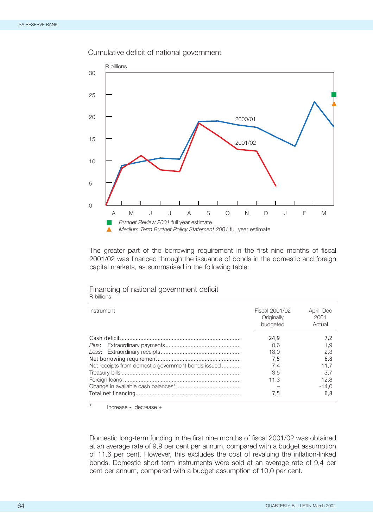



The greater part of the borrowing requirement in the first nine months of fiscal 2001/02 was financed through the issuance of bonds in the domestic and foreign capital markets, as summarised in the following table:

| Instrument                                         | Fiscal 2001/02<br>Originally<br>budgeted | April-Dec<br>2001<br>Actual |
|----------------------------------------------------|------------------------------------------|-----------------------------|
|                                                    | 24.9                                     | 7.2                         |
|                                                    | 0.6                                      | 1.9                         |
|                                                    | 18.0                                     | 2,3                         |
|                                                    | 7.5                                      | 6.8                         |
| Net receipts from domestic government bonds issued | $-7.4$                                   | 11.7                        |
|                                                    | 3.5                                      | $-3.7$                      |
|                                                    | 11.3                                     | 12.8                        |
|                                                    |                                          | $-14.0$                     |
|                                                    | 7.5                                      | 6.8                         |

#### Financing of national government deficit R billions

Increase -, decrease +

Domestic long-term funding in the first nine months of fiscal 2001/02 was obtained at an average rate of 9,9 per cent per annum, compared with a budget assumption of 11,6 per cent. However, this excludes the cost of revaluing the inflation-linked bonds. Domestic short-term instruments were sold at an average rate of 9,4 per cent per annum, compared with a budget assumption of 10,0 per cent.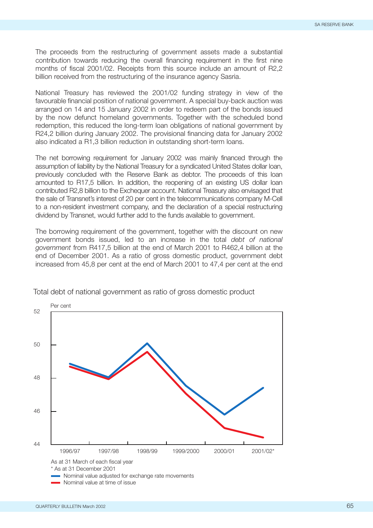The proceeds from the restructuring of government assets made a substantial contribution towards reducing the overall financing requirement in the first nine months of fiscal 2001/02. Receipts from this source include an amount of R2,2 billion received from the restructuring of the insurance agency Sasria.

National Treasury has reviewed the 2001/02 funding strategy in view of the favourable financial position of national government. A special buy-back auction was arranged on 14 and 15 January 2002 in order to redeem part of the bonds issued by the now defunct homeland governments. Together with the scheduled bond redemption, this reduced the long-term loan obligations of national government by R24,2 billion during January 2002. The provisional financing data for January 2002 also indicated a R1,3 billion reduction in outstanding short-term loans.

The net borrowing requirement for January 2002 was mainly financed through the assumption of liability by the National Treasury for a syndicated United States dollar loan, previously concluded with the Reserve Bank as debtor. The proceeds of this loan amounted to R17,5 billion. In addition, the reopening of an existing US dollar loan contributed R2,8 billion to the Exchequer account. National Treasury also envisaged that the sale of Transnet's interest of 20 per cent in the telecommunications company M-Cell to a non-resident investment company, and the declaration of a special restructuring dividend by Transnet, would further add to the funds available to government.

The borrowing requirement of the government, together with the discount on new government bonds issued, led to an increase in the total *debt of national government* from R417,5 billion at the end of March 2001 to R462,4 billion at the end of December 2001. As a ratio of gross domestic product, government debt increased from 45,8 per cent at the end of March 2001 to 47,4 per cent at the end



Total debt of national government as ratio of gross domestic product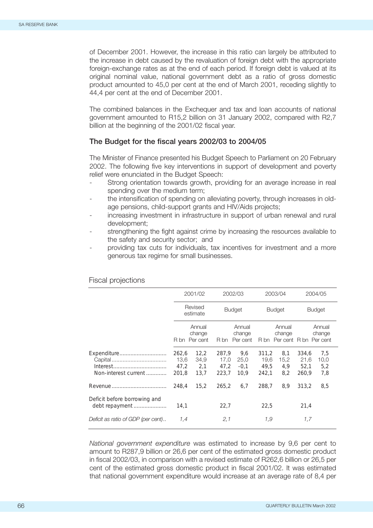of December 2001. However, the increase in this ratio can largely be attributed to the increase in debt caused by the revaluation of foreign debt with the appropriate foreign-exchange rates as at the end of each period. If foreign debt is valued at its original nominal value, national government debt as a ratio of gross domestic product amounted to 45,0 per cent at the end of March 2001, receding slightly to 44,4 per cent at the end of December 2001.

The combined balances in the Exchequer and tax and loan accounts of national government amounted to R15,2 billion on 31 January 2002, compared with R2,7 billion at the beginning of the 2001/02 fiscal year.

## **The Budget for the fiscal years 2002/03 to 2004/05**

The Minister of Finance presented his Budget Speech to Parliament on 20 February 2002. The following five key interventions in support of development and poverty relief were enunciated in the Budget Speech:

- Strong orientation towards growth, providing for an average increase in real spending over the medium term;
- the intensification of spending on alleviating poverty, through increases in oldage pensions, child-support grants and HIV/Aids projects;
- increasing investment in infrastructure in support of urban renewal and rural development;
- strengthening the fight against crime by increasing the resources available to the safety and security sector; and
- providing tax cuts for individuals, tax incentives for investment and a more generous tax regime for small businesses.

|                                                |                                | 2001/02<br>Revised<br>estimate<br>Annual<br>change<br>R bn Per cent |                                | 2002/03                              |                                | 2003/04                                         |                                | 2004/05                   |  |
|------------------------------------------------|--------------------------------|---------------------------------------------------------------------|--------------------------------|--------------------------------------|--------------------------------|-------------------------------------------------|--------------------------------|---------------------------|--|
|                                                |                                |                                                                     |                                | <b>Budget</b>                        |                                | <b>Budget</b>                                   |                                | <b>Budget</b>             |  |
|                                                |                                |                                                                     |                                | Annual<br>change<br>Per cent<br>R bn |                                | Annual<br>change<br>R bn Per cent R bn Per cent |                                | Annual<br>change          |  |
| Expenditure<br>Non-interest current            | 262,6<br>13,6<br>47,2<br>201.8 | 12,2<br>34,9<br>2,1<br>13,7                                         | 287,9<br>17.0<br>47,2<br>223.7 | 9,6<br>25,0<br>$-0,1$<br>10.9        | 311,2<br>19.6<br>49.5<br>242.1 | 8,1<br>15,2<br>4,9<br>8,2                       | 334,6<br>21.6<br>52,1<br>260.9 | 7,5<br>10,0<br>5,2<br>7,8 |  |
|                                                | 248,4                          | 15,2                                                                | 265,2                          | 6,7                                  | 288.7                          | 8.9                                             | 313.2                          | 8,5                       |  |
| Deficit before borrowing and<br>debt repayment | 14,1                           |                                                                     | 22,7                           |                                      | 22,5                           |                                                 | 21,4                           |                           |  |
| Deficit as ratio of GDP (per cent)             | 1.4                            |                                                                     | 2,1                            |                                      | 1.9                            |                                                 | 1.7                            |                           |  |

#### Fiscal projections

*National government expenditure* was estimated to increase by 9,6 per cent to amount to R287,9 billion or 26,6 per cent of the estimated gross domestic product in fiscal 2002/03, in comparison with a revised estimate of R262,6 billion or 26,5 per cent of the estimated gross domestic product in fiscal 2001/02. It was estimated that national government expenditure would increase at an average rate of 8,4 per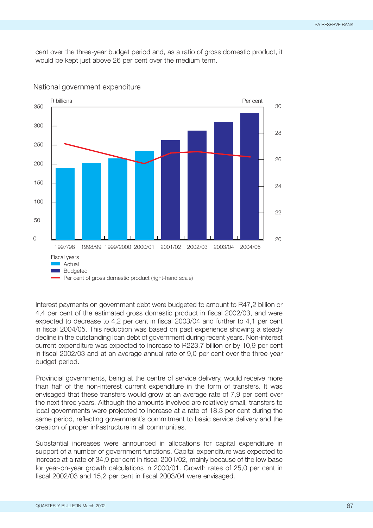cent over the three-year budget period and, as a ratio of gross domestic product, it would be kept just above 26 per cent over the medium term.



National government expenditure

Interest payments on government debt were budgeted to amount to R47,2 billion or 4,4 per cent of the estimated gross domestic product in fiscal 2002/03, and were expected to decrease to 4,2 per cent in fiscal 2003/04 and further to 4,1 per cent in fiscal 2004/05. This reduction was based on past experience showing a steady decline in the outstanding loan debt of government during recent years. Non-interest current expenditure was expected to increase to R223,7 billion or by 10,9 per cent in fiscal 2002/03 and at an average annual rate of 9,0 per cent over the three-year budget period.

Provincial governments, being at the centre of service delivery, would receive more than half of the non-interest current expenditure in the form of transfers. It was envisaged that these transfers would grow at an average rate of 7,9 per cent over the next three years. Although the amounts involved are relatively small, transfers to local governments were projected to increase at a rate of 18,3 per cent during the same period, reflecting government's commitment to basic service delivery and the creation of proper infrastructure in all communities.

Substantial increases were announced in allocations for capital expenditure in support of a number of government functions. Capital expenditure was expected to increase at a rate of 34,9 per cent in fiscal 2001/02, mainly because of the low base for year-on-year growth calculations in 2000/01. Growth rates of 25,0 per cent in fiscal 2002/03 and 15,2 per cent in fiscal 2003/04 were envisaged.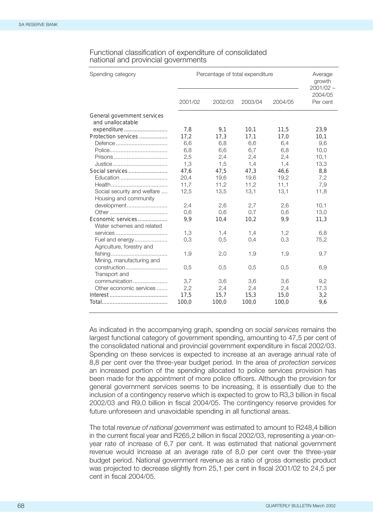| Spending category                                |         | Percentage of total expenditure |         |         |                                    |  |  |
|--------------------------------------------------|---------|---------------------------------|---------|---------|------------------------------------|--|--|
|                                                  | 2001/02 | 2002/03                         | 2003/04 | 2004/05 | $2001/02 -$<br>2004/05<br>Per cent |  |  |
| General government services<br>and unallocatable |         |                                 |         |         |                                    |  |  |
| expenditure                                      | 7,8     | 9,1                             | 10,1    | 11,5    | 23,9                               |  |  |
| Protection services                              | 17,2    | 17,3                            | 17,1    | 17,0    | 10,1                               |  |  |
| Defence                                          | 6,6     | 6,8                             | 6,6     | 6,4     | 9,6                                |  |  |
|                                                  | 6,8     | 6,6                             | 6,7     | 6,8     | 10,0                               |  |  |
|                                                  | 2,5     | 2,4                             | 2,4     | 2,4     | 10,1                               |  |  |
|                                                  | 1,3     | 1,5                             | 1,4     | 1,4     | 13,3                               |  |  |
|                                                  | 47,6    | 47,5                            | 47,3    | 46,6    | 8,8                                |  |  |
| Education                                        | 20,4    | 19,6                            | 19,6    | 19,2    | 7,2                                |  |  |
|                                                  | 11,7    | 11,2                            | 11,2    | 11,1    | 7,9                                |  |  |
| Social security and welfare                      | 12,5    | 13,5                            | 13,1    | 13,1    | 11,8                               |  |  |
| Housing and community                            |         |                                 |         |         |                                    |  |  |
| development                                      | 2,4     | 2,6                             | 2,7     | 2,6     | 10,1                               |  |  |
|                                                  | 0,6     | 0,6                             | 0.7     | 0,6     | 13,0                               |  |  |
| Economic services                                | 9,9     | 10,4                            | 10,2    | 9,9     | 11,3                               |  |  |
| Water schemes and related                        |         |                                 |         |         |                                    |  |  |
| services                                         | 1,3     | 1,4                             | 1,4     | 1,2     | 6,8                                |  |  |
| Fuel and energy<br>Agriculture, forestry and     | 0,3     | 0,5                             | 0,4     | 0,3     | 75,2                               |  |  |
| Mining, manufacturing and                        | 1,9     | 2,0                             | 1,9     | 1,9     | 9,7                                |  |  |
| construction<br>Transport and                    | 0,5     | 0,5                             | 0,5     | 0,5     | 6,9                                |  |  |
| communication                                    | 3,7     | 3,6                             | 3,6     | 3,6     | 9,2                                |  |  |
| Other economic services                          | 2,2     | 2,4                             | 2,4     | 2,4     | 17,3                               |  |  |
|                                                  | 17,5    | 15,7                            | 15,3    | 15,0    | 3,2                                |  |  |
|                                                  | 100,0   | 100,0                           | 100,0   | 100,0   | 9,6                                |  |  |
|                                                  |         |                                 |         |         |                                    |  |  |

#### Functional classification of expenditure of consolidated national and provincial governments

As indicated in the accompanying graph, spending on *social services* remains the largest functional category of government spending, amounting to 47,5 per cent of the consolidated national and provincial government expenditure in fiscal 2002/03. Spending on these services is expected to increase at an average annual rate of 8,8 per cent over the three-year budget period. In the area of *protection services* an increased portion of the spending allocated to police services provision has been made for the appointment of more police officers. Although the provision for general government services seems to be increasing, it is essentially due to the inclusion of a contingency reserve which is expected to grow to R3,3 billion in fiscal 2002/03 and R9,0 billion in fiscal 2004/05. The contingency reserve provides for future unforeseen and unavoidable spending in all functional areas.

The total *revenue of national government* was estimated to amount to R248,4 billion in the current fiscal year and R265,2 billion in fiscal 2002/03, representing a year-onyear rate of increase of 6,7 per cent. It was estimated that national government revenue would increase at an average rate of 8,0 per cent over the three-year budget period. National government revenue as a ratio of gross domestic product was projected to decrease slightly from 25,1 per cent in fiscal 2001/02 to 24,5 per cent in fiscal 2004/05.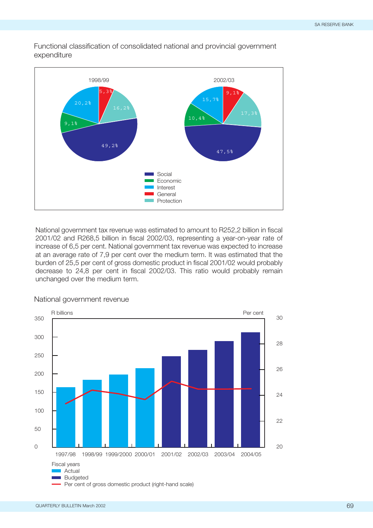Functional classification of consolidated national and provincial government expenditure



National government tax revenue was estimated to amount to R252,2 billion in fiscal 2001/02 and R268,5 billion in fiscal 2002/03, representing a year-on-year rate of increase of 6,5 per cent. National government tax revenue was expected to increase at an average rate of 7,9 per cent over the medium term. It was estimated that the burden of 25,5 per cent of gross domestic product in fiscal 2001/02 would probably decrease to 24,8 per cent in fiscal 2002/03. This ratio would probably remain unchanged over the medium term.



National government revenue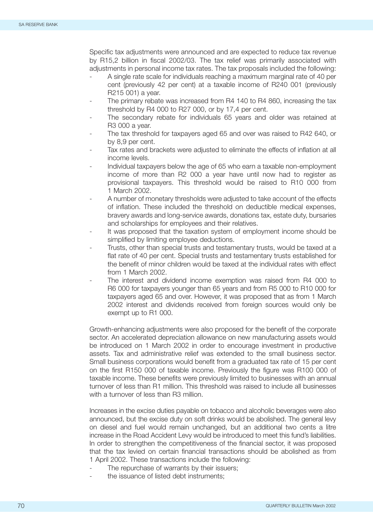Specific tax adjustments were announced and are expected to reduce tax revenue by R15,2 billion in fiscal 2002/03. The tax relief was primarily associated with adjustments in personal income tax rates. The tax proposals included the following:

- A single rate scale for individuals reaching a maximum marginal rate of 40 per cent (previously 42 per cent) at a taxable income of R240 001 (previously R215 001) a year.
- The primary rebate was increased from R4 140 to R4 860, increasing the tax threshold by R4 000 to R27 000, or by 17,4 per cent.
- The secondary rebate for individuals 65 years and older was retained at R3 000 a year.
- The tax threshold for taxpayers aged 65 and over was raised to R42 640, or by 8,9 per cent.
- Tax rates and brackets were adjusted to eliminate the effects of inflation at all income levels.
- Individual taxpayers below the age of 65 who earn a taxable non-employment income of more than R2 000 a year have until now had to register as provisional taxpayers. This threshold would be raised to R10 000 from 1 March 2002.
- A number of monetary thresholds were adjusted to take account of the effects of inflation. These included the threshold on deductible medical expenses, bravery awards and long-service awards, donations tax, estate duty, bursaries and scholarships for employees and their relatives.
- It was proposed that the taxation system of employment income should be simplified by limiting employee deductions.
- Trusts, other than special trusts and testamentary trusts, would be taxed at a flat rate of 40 per cent. Special trusts and testamentary trusts established for the benefit of minor children would be taxed at the individual rates with effect from 1 March 2002.
- The interest and dividend income exemption was raised from R4 000 to R6 000 for taxpayers younger than 65 years and from R5 000 to R10 000 for taxpayers aged 65 and over. However, it was proposed that as from 1 March 2002 interest and dividends received from foreign sources would only be exempt up to R1 000.

Growth-enhancing adjustments were also proposed for the benefit of the corporate sector. An accelerated depreciation allowance on new manufacturing assets would be introduced on 1 March 2002 in order to encourage investment in productive assets. Tax and administrative relief was extended to the small business sector. Small business corporations would benefit from a graduated tax rate of 15 per cent on the first R150 000 of taxable income. Previously the figure was R100 000 of taxable income. These benefits were previously limited to businesses with an annual turnover of less than R1 million. This threshold was raised to include all businesses with a turnover of less than R3 million.

Increases in the excise duties payable on tobacco and alcoholic beverages were also announced, but the excise duty on soft drinks would be abolished. The general levy on diesel and fuel would remain unchanged, but an additional two cents a litre increase in the Road Accident Levy would be introduced to meet this fund's liabilities. In order to strengthen the competitiveness of the financial sector, it was proposed that the tax levied on certain financial transactions should be abolished as from 1 April 2002. These transactions include the following:

- The repurchase of warrants by their issuers;
- the issuance of listed debt instruments: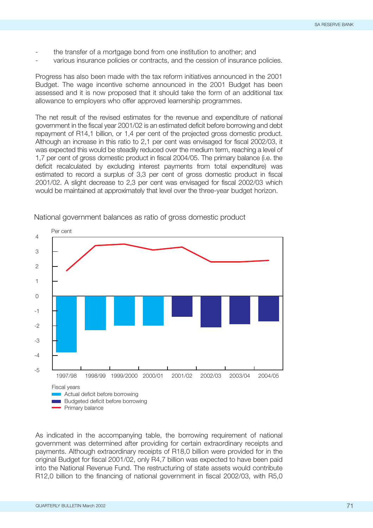- the transfer of a mortgage bond from one institution to another; and
- various insurance policies or contracts, and the cession of insurance policies.

Progress has also been made with the tax reform initiatives announced in the 2001 Budget. The wage incentive scheme announced in the 2001 Budget has been assessed and it is now proposed that it should take the form of an additional tax allowance to employers who offer approved learnership programmes.

The net result of the revised estimates for the revenue and expenditure of national government in the fiscal year 2001/02 is an estimated deficit before borrowing and debt repayment of R14,1 billion, or 1,4 per cent of the projected gross domestic product. Although an increase in this ratio to 2,1 per cent was envisaged for fiscal 2002/03, it was expected this would be steadily reduced over the medium term, reaching a level of 1,7 per cent of gross domestic product in fiscal 2004/05. The primary balance (i.e. the deficit recalculated by excluding interest payments from total expenditure) was estimated to record a surplus of 3,3 per cent of gross domestic product in fiscal 2001/02. A slight decrease to 2,3 per cent was envisaged for fiscal 2002/03 which would be maintained at approximately that level over the three-year budget horizon.



National government balances as ratio of gross domestic product

As indicated in the accompanying table, the borrowing requirement of national government was determined after providing for certain extraordinary receipts and payments. Although extraordinary receipts of R18,0 billion were provided for in the original Budget for fiscal 2001/02, only R4,7 billion was expected to have been paid into the National Revenue Fund. The restructuring of state assets would contribute R12,0 billion to the financing of national government in fiscal 2002/03, with R5,0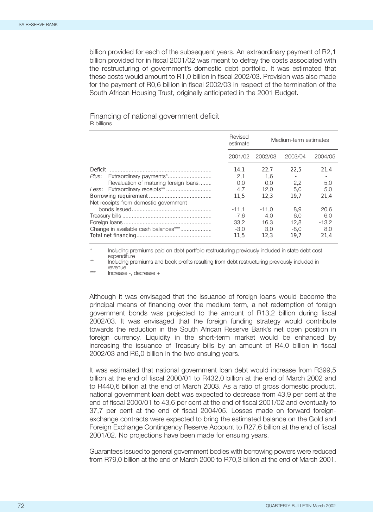billion provided for each of the subsequent years. An extraordinary payment of R2,1 billion provided for in fiscal 2001/02 was meant to defray the costs associated with the restructuring of government's domestic debt portfolio. It was estimated that these costs would amount to R1,0 billion in fiscal 2002/03. Provision was also made for the payment of R0,6 billion in fiscal 2002/03 in respect of the termination of the South African Housing Trust, originally anticipated in the 2001 Budget.

## Financing of national government deficit R billions

|                                                                                                                                                              | Revised<br>estimate                                    | Medium-term estimates                                |                                          |                                           |
|--------------------------------------------------------------------------------------------------------------------------------------------------------------|--------------------------------------------------------|------------------------------------------------------|------------------------------------------|-------------------------------------------|
|                                                                                                                                                              | 2001/02                                                | 2002/03                                              | 2003/04<br>2004/05                       |                                           |
| Deficit<br>Plus: Extraordinary payments*<br>Revaluation of maturing foreign loans<br>Less: Extraordinary receipts**<br>Net receipts from domestic government | 14.1<br>2,1<br>0.0<br>4.7<br>11.5<br>$-11.1$<br>$-7.6$ | 22.7<br>1.6<br>0.0<br>12.0<br>12.3<br>$-11.0$<br>4.0 | 22.5<br>2.2<br>5.0<br>19.7<br>8.9<br>6.0 | 21.4<br>5,0<br>5.0<br>21.4<br>20.6<br>6.0 |
| Change in available cash balances***                                                                                                                         | 33.2<br>$-3.0$<br>11.5                                 | 16.3<br>3.0<br>12.3                                  | 12.8<br>-8.0<br>19.7                     | $-13.2$<br>8.0<br>21.4                    |

Including premiums paid on debt portfolio restructuring previously included in state debt cost expenditure

\*\* Including premiums and book profits resulting from debt restructuring previously included in revenue

\*\*\* Increase -, decrease +

Although it was envisaged that the issuance of foreign loans would become the principal means of financing over the medium term, a net redemption of foreign government bonds was projected to the amount of R13,2 billion during fiscal 2002/03. It was envisaged that the foreign funding strategy would contribute towards the reduction in the South African Reserve Bank's net open position in foreign currency. Liquidity in the short-term market would be enhanced by increasing the issuance of Treasury bills by an amount of R4,0 billion in fiscal 2002/03 and R6,0 billion in the two ensuing years.

It was estimated that national government loan debt would increase from R399,5 billion at the end of fiscal 2000/01 to R432,0 billion at the end of March 2002 and to R440,6 billion at the end of March 2003. As a ratio of gross domestic product, national government loan debt was expected to decrease from 43,9 per cent at the end of fiscal 2000/01 to 43,6 per cent at the end of fiscal 2001/02 and eventually to 37,7 per cent at the end of fiscal 2004/05. Losses made on forward foreignexchange contracts were expected to bring the estimated balance on the Gold and Foreign Exchange Contingency Reserve Account to R27,6 billion at the end of fiscal 2001/02. No projections have been made for ensuing years.

Guarantees issued to general government bodies with borrowing powers were reduced from R79,0 billion at the end of March 2000 to R70,3 billion at the end of March 2001.